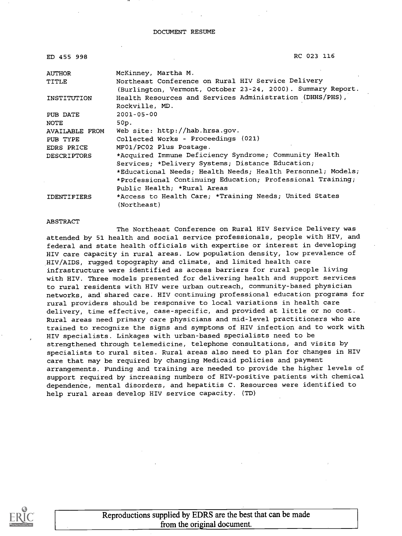| ED 455 998         | RC 023 116                                                                                                        |  |  |  |  |
|--------------------|-------------------------------------------------------------------------------------------------------------------|--|--|--|--|
| <b>AUTHOR</b>      | McKinney, Martha M.                                                                                               |  |  |  |  |
| TITLE              | Northeast Conference on Rural HIV Service Delivery<br>(Burlington, Vermont, October 23-24, 2000). Summary Report. |  |  |  |  |
| INSTITUTION        | Health Resources and Services Administration (DHHS/PHS),<br>Rockville, MD.                                        |  |  |  |  |
| PUB DATE<br>NOTE   | $2001 - 05 - 00$<br>50p.                                                                                          |  |  |  |  |
| AVAILABLE FROM     | Web site: http://hab.hrsa.gov.                                                                                    |  |  |  |  |
| PUB TYPE           | Collected Works - Proceedings (021)                                                                               |  |  |  |  |
| EDRS PRICE         | MF01/PC02 Plus Postage.                                                                                           |  |  |  |  |
| <b>DESCRIPTORS</b> | *Acquired Immune Deficiency Syndrome; Community Health                                                            |  |  |  |  |
|                    | Services; *Delivery Systems; Distance Education;                                                                  |  |  |  |  |
|                    | *Educational Needs; Health Needs; Health Personnel; Models;                                                       |  |  |  |  |
|                    | *Professional Continuing Education; Professional Training;                                                        |  |  |  |  |
|                    | Public Health; *Rural Areas                                                                                       |  |  |  |  |
| <b>IDENTIFIERS</b> | *Access to Health Care; *Training Needs; United States<br>(Northeast)                                             |  |  |  |  |

#### ABSTRACT

The Northeast Conference on Rural HIV Service Delivery was attended by 51 health and social service professionals, people with HIV, and federal and state health officials with expertise or interest in developing HIV care capacity in rural areas. Low population density, low prevalence of HIV/AIDS, rugged topography and climate, and limited health care infrastructure were identified as access barriers for rural people living with HIV. Three models presented for delivering health and support services to rural residents with HIV were urban outreach, community-based physician networks, and shared care. HIV continuing professional education programs for rural providers should be responsive to local variations in health care delivery, time effective, case-specific, and provided at little or no cost. Rural areas need primary care physicians and mid-level practitioners who are trained to recognize the signs and symptoms of HIV infection and to work with HIV specialists. Linkages with urban-based specialists need to be strengthened through telemedicine, telephone consultations, and visits by specialists to rural sites. Rural areas also need to plan for changes in HIV care that may be required by changing Medicaid policies and payment arrangements. Funding and training are needed to provide the higher levels of support required by increasing numbers of HIV-positive patients with chemical dependence, mental disorders, and hepatitis C. Resources were identified to help rural areas develop HIV service capacity. (TD)



Reproductions supplied by EDRS are the best that can be made from the original document.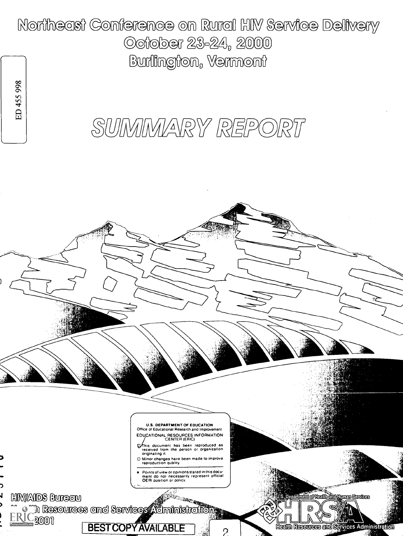Northeast Conference on Rural HIV Service Delivery October 23-24, 2000 Burilington, Vermont

# SUIMIMARY REPORT

ED 455 998

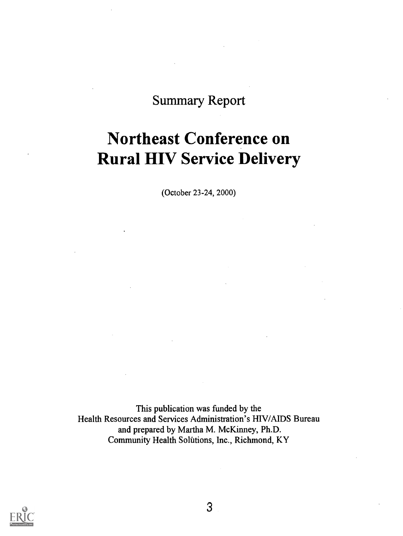## Summary Report

## Northeast Conference on Rural HIV Service Delivery

(October 23-24, 2000)

This publication was funded by the Health Resources and Services Administration's HIV/AIDS Bureau and prepared by Martha M. McKinney, Ph.D. Community Health Solutions, Inc., Richmond, KY

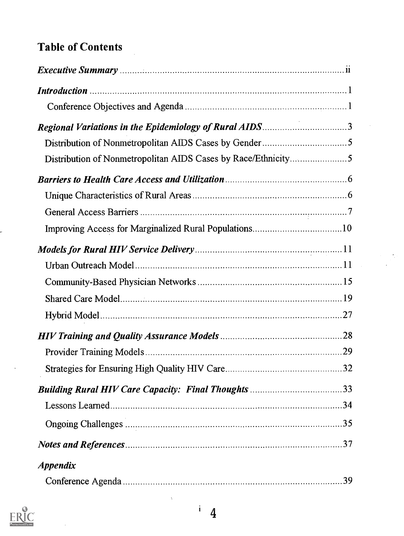## Table of Contents

| Regional Variations in the Epidemiology of Rural AIDS3        |  |
|---------------------------------------------------------------|--|
|                                                               |  |
| Distribution of Nonmetropolitan AIDS Cases by Race/Ethnicity5 |  |
|                                                               |  |
|                                                               |  |
|                                                               |  |
|                                                               |  |
|                                                               |  |
|                                                               |  |
|                                                               |  |
|                                                               |  |
|                                                               |  |
|                                                               |  |
|                                                               |  |
|                                                               |  |
|                                                               |  |
|                                                               |  |
|                                                               |  |
|                                                               |  |
| <i><b>Appendix</b></i>                                        |  |
|                                                               |  |



 $\hat{\mathcal{A}}$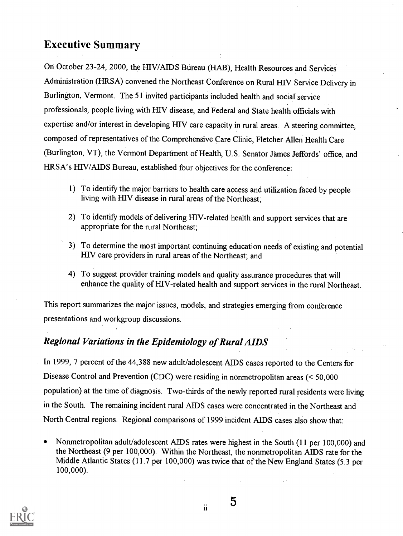### Executive Summary

On October 23-24, 2000, the HIV/AIDS Bureau (HAB), Health Resources and Services Administration (HRSA) convened the Northeast Conference on Rural HIV Service Delivery in Burlington, Vermont. The 51 invited participants included health and social service professionals, people living with HIV disease, and Federal and State health officials with expertise and/or interest in developing HIV care capacity in rural areas. A steering committee, composed of representatives of the Comprehensive Care Clinic, Fletcher Allen Health Care (Burlington, VT), the Vermont Department of Health, U.S. Senator James Jeffords' office, and HRSA's HIV/AIDS Bureau, established four objectives for the conference:

- 1) To identify the major barriers to health care access and utilization faced by people living with HIV disease in rural areas of the Northeast;
- 2) To identify models of delivering HIV-related health and support services that are appropriate for the rural Northeast;
- 3) To determine the most important continuing education needs of existing and potential HIV care providers in rural areas of the Northeast; and
- 4) To suggest provider training models and quality assurance procedures that will enhance the quality of HIV-related health and support services in the rural Northeast.

This report summarizes the major issues, models, and strategies emerging from conference presentations and workgroup discussions.

### Regional Variations in the Epidemiology of Rural AIDS

In 1999, 7 percent of the 44,388 new adult/adolescent AIDS cases reported to the Centers for Disease Control and Prevention (CDC) were residing in nonmetropolitan areas (< 50,000 population) at the time of diagnosis. Two-thirds of the newly reported rural residents were living in the South. The remaining incident rural AIDS cases were concentrated in the Northeast and North Central regions. Regional comparisons of 1999 incident AIDS cases also show that:

Nonmetropolitan adult/adolescent AIDS rates were highest in the South (11 per 100,000) and the Northeast (9 per 100,000). Within the Northeast, the nonmetropolitan AIDS rate for the Middle Atlantic States (11.7 per 100,000) was twice that of the New England States (5.3 per 100,000).



ii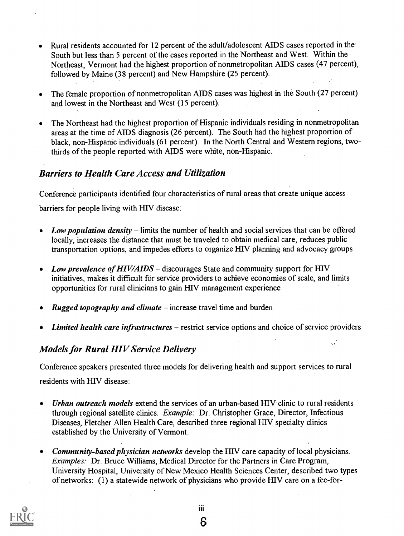- Rural residents accounted for 12 percent of the adult/adolescent AIDS cases reported in the  $\bullet$ South but less than 5 percent of the cases reported in the Northeast and West. Within the Northeast, Vermont had the highest proportion of nonmetropolitan AIDS cases (47 percent), followed by Maine (38 percent) and New Hampshire (25 percent).
- The female proportion of nonmetropolitan AIDS cases was highest in the South (27 percent) and lowest in the Northeast and West (15 percent).
- The Northeast had the highest proportion of Hispanic individuals residing in nonmetropolitan  $\bullet$ areas at the time of AIDS diagnosis (26 percent). The South had the highest proportion of black, non-Hispanic individuals (61 percent). In the North Central and Western regions, twothirds of the people reported with AIDS were white, non-Hispanic.

### Barriers to Health Care Access and Utilization

Conference participants identified four characteristics of rural areas that create unique access barriers for people living with HIV disease:

- Low population density  $-$  limits the number of health and social services that can be offered locally, increases the distance that must be traveled to obtain medical care, reduces public transportation options, and impedes efforts to organize HIV planning and advocacy groups
- Low prevalence of HIV/AIDS discourages State and community support for HIV initiatives, makes it difficult for service providers to achieve economies of scale, and limits opportunities for rural clinicians to gain HIV management experience
- **Rugged topography and climate** increase travel time and burden
- $\bullet$  *Limited health care infrastructures* restrict service options and choice of service providers

### Models for Rural HIV Service Delivery

Conference speakers presented three models for delivering health and support services to rural residents with HIV disease:

- Urban outreach models extend the services of an urban-based HIV clinic to rural residents  $\bullet$ through regional satellite clinics. Example: Dr. Christopher Grace, Director, Infectious Diseases, Fletcher Allen Health Care, described three regional HIV specialty clinics established by the University of Vermont.
- Community-based physician networks develop the HIV care capacity of local physicians. Examples: Dr. Bruce Williams, Medical Director for the Partners in Care Program, University Hospital, University of New Mexico Health Sciences Center, described two types of networks: (1) a statewide network of physicians who provide HIV care on a fee-for-



iii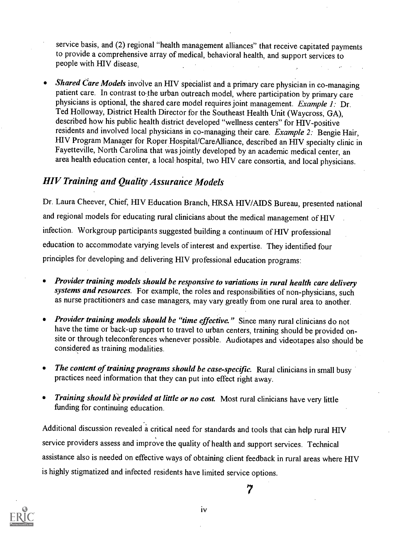service basis, and (2) regional "health management alliances" that receive capitated payments to provide a comprehensive array of medical, behavioral health, and support services to people with HIV disease,

Shared Care Models involve an HIV specialist and a primary care physician in co-managing patient care. In contrast to the urban outreach model, where participation by primary care physicians is optional, the shared care model requires joint management. Example 1: Dr. Ted Holloway, District Health Director for the Southeast Health Unit (Waycross, GA), described how his public health district developed "wellness centers" for HIV-positive residents and involved local physicians in co-managing their care. Example 2: Bengie Hair, HIV Program Manager for Roper Hospital/CareAlliance, described an HIV specialty clinic in Fayetteville, North Carolina that was jointly developed by an academic medical center, an area health education center, a local hospital, two FIIV care consortia, and local physicians.

### HIV Training and Quality Assurance Models

Dr. Laura Cheever, Chief, HIV Education Branch, HRSA HIV/AIDS Bureau, presented national and regional models for educating rural clinicians about the medical management of HIV infection. Workgroup participants suggested building a continuum of HIV professional education to accommodate varying levels of interest and expertise. They identified four principles for developing and delivering HIV professional education programs:

- Provider training models should be responsive to variations in rural health care delivery systems and resources. For example, the roles and responsibilities of non-physicians, such as nurse practitioners and case managers, may vary greatly from one rural area to another.
- Provider training models should be "time effective." Since many rural clinicians do not have the time or back-up support to travel to urban centers, training should be provided onsite or through teleconferences whenever possible. Audiotapes and videotapes also should be considered as training modalities.
- The content of training programs should be case-specific. Rural clinicians in small busy practices need information that they can put into effect right away.
- Training should be provided at little or no cost. Most rural clinicians have very little funding for continuing education.

Additional discussion revealed a critical need for standards and tools that can help rural HIV service providers assess and improve the quality of health and support services. Technical assistance also is needed on effective ways of obtaining client feedback in rural areas where HIV is highly stigmatized and infected residents have limited service options.



iv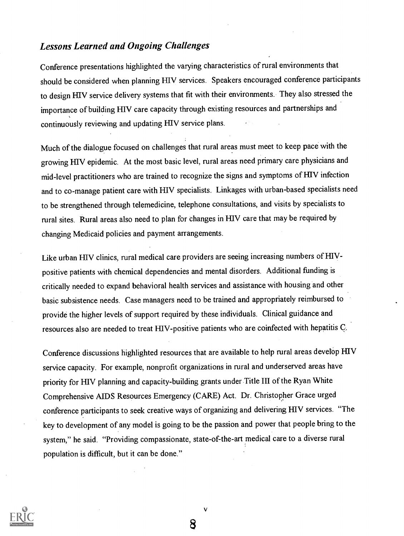### Lessons Learned and Ongoing Challenges

Conference presentations highlighted the varying characteristics of rural environments that should be considered when planning HIV services. Speakers encouraged conference participants to design HIV service delivery systems that fit with their environments. They also stressed the importance of building HIV care capacity through existing resources and partnerships and continuously reviewing and updating HIV service plans.

Much of the dialogue focused on challenges that rural areas must meet to keep pace with the growing 1HV epidemic. At the most basic level, rural areas need primary care physicians and mid-level practitioners who are trained to recognize the signs and symptoms of HIV infection and to co-manage patient care with HIV specialists. Linkages with urban-based specialists need to be strengthened through telemedicine, telephone consultations, and visits by specialists to rural sites. Rural areas also need to plan for changes in HIV care that may be required by changing Medicaid policies and payment arrangements.

Like urban HIV clinics, rural medical care providers are seeing increasing numbers of HIVpositive patients with chemical dependencies and mental disorders. Additional funding is critically needed to expand behavioral health services and assistance with housing and other basic subsistence needs. Case managers need to be trained and appropriately reimbursed to provide the higher levels of support required by these individuals. Clinical guidance and resources also are needed to treat HIV-positive patients who are coinfected with hepatitis C.

Conference discussions highlighted resources that are available to help rural areas develop HIV service capacity. For example, nonprofit organizations in rural and underserved areas have priority for HIV planning and capacity-building grants under Title III of the Ryan White Comprehensive AIDS Resources Emergency (CARE) Act. Dr. Christopher Grace urged conference participants to seek creative ways of organizing and delivering HIV services. "The key to development of any model is going to be the passion and power that people bring to the system," he said. "Providing compassionate, state-of-the-art medical care to a diverse rural population is difficult, but it can be done."



8

V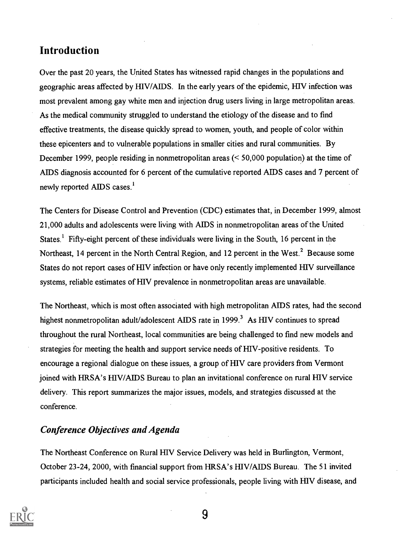### Introduction

Over the past 20 years, the United States has witnessed rapid changes in the populations and geographic areas affected by HIV/A1DS. In the early years of the epidemic, HIV infection was most prevalent among gay white men and injection drug users living in large metropolitan areas. As the medical community struggled to understand the etiology of the disease and to find effective treatments, the disease quickly spread to women, youth, and people of color within these epicenters and to vulnerable populations in smaller cities and rural communities. By December 1999, people residing in nonmetropolitan areas (< 50,000 population) at the time of AIDS diagnosis accounted for 6 percent of the cumulative reported AIDS cases and 7 percent of newly reported AIDS cases.'

The Centers for Disease Control and Prevention (CDC) estimates that, in December 1999, almost 21,000 adults and adolescents were living with AIDS in nonmetropolitan areas of the United States.<sup>1</sup> Fifty-eight percent of these individuals were living in the South, 16 percent in the Northeast, 14 percent in the North Central Region, and 12 percent in the West.<sup>2</sup> Because some States do not report cases of HIV infection or have only recently implemented HIV surveillance systems, reliable estimates of HIV prevalence in nonmetropolitan areas are unavailable.

The Northeast, which is most often associated with high metropolitan AIDS rates, had the second highest nonmetropolitan adult/adolescent AIDS rate in 1999.<sup>3</sup> As HIV continues to spread throughout the rural Northeast, local communities are being challenged to find new models and strategies for meeting the health and support service needs of HIV-positive residents. To encourage a regional dialogue on these issues, a group of HIV care providers from Vermont joined with HRSA's HIV/AIDS Bureau to plan an invitational conference on rural HIV service delivery. This report summarizes the major issues, models, and strategies discussed at the conference.

### Conference Objectives and Agenda

The Northeast Conference on Rural HIV Service Delivery was held in Burlington, Vermont, October 23-24, 2000, with financial support from HRSA's HIV/AIDS Bureau. The 51 invited participants included health and social service professionals, people living with HIV disease, and

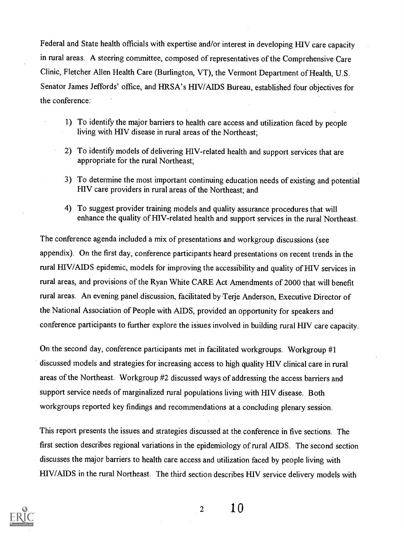Federal and State health officials with expertise and/or interest in developing HIV care capacity in rural areas. A steering committee, composed of representatives of the Comprehensive Care Clinic, Fletcher Allen Health Care (Burlington, VT), the Vermont Department of Health, U.S. Senator James Jeffords' office, and HRSA's HIV/AIDS Bureau, established four objectives for the conference:

- 1) To identify the major barriers to health care access and utilization faced by people living with HIV disease in rural areas of the Northeast;
- 2) To identify models of delivering HIV-related health and support services that are appropriate for the rural Northeast;
- 3) To determine the most important continuing education needs of existing and potential HIV care providers in rural areas of the Northeast; and
- 4) To suggest provider training models and quality assurance procedures that will enhance the quality of H1V-related health and support services in the rural Northeast.

The conference agenda included a mix of presentations and workgroup discussions (see appendix). On the first day, conference participants heard presentations on recent trends in the rural HIV/AIDS epidemic, models for improving the accessibility and quality of HIV services in rural areas, and provisions of the Ryan White CARE Act Amendments of 2000 that will benefit rural areas. An evening panel discussion, facilitated by Terje Anderson, Executive Director of the National Association of People with AIDS, provided an opportunity for speakers and conference participants to further explore the isSues involved in building rural HIV care capacity.

On the second day, conference participants met in facilitated workgroups. Workgroup #1 discussed models and strategies for increasing access to high quality HIV clinical care in rural areas of the Northeast. Workgroup #2 discussed ways of addressing the access barriers and support service needs of marginalized rural populations living with HIV disease. Both workgroups reported key findings and recommendations at a concluding plenary session.

This report presents the issues and strategies discussed at the conference in five sections. The first section describes regional variations in the epidemiology of rural AIDS. The second section discusses the major barriers to health care access and utilization faced by people living with HIV/AIDS in the rural Northeast. The third section describes HIV service delivery models with

 $\overline{2}$ 



 $1<sub>0</sub>$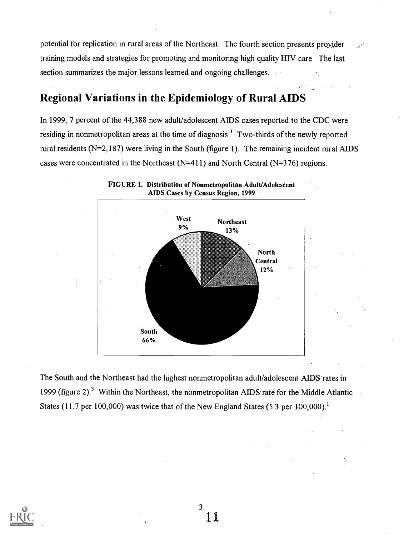potential for replication in rural areas of the Northeast. The fourth section presents provider training models and strategies for promoting and monitoring high quality HIV care. The last section summarizes the major lessons learned and ongoing challenges.

### Regional Variations in the Epidemiology of Rural AIDS

In 1999, 7 percent of the 44,388 new adult/adolescent AIDS cases reported to the CDC were residing in nonmetropolitan areas at the time of diagnosis.' Two-thirds of the newly reported rural residents ( $N=2,187$ ) were living in the South (figure 1). The remaining incident rural AIDS cases were concentrated in the Northeast (N=411) and North Central (N=376) regions.



The South and the Northeast had the highest nonmetropolitan adult/adolescent AIDS rates in 1999 (figure 2).<sup>3</sup> Within the Northeast, the nonmetropolitan AIDS rate for the Middle Atlantic States (11.7 per 100,000) was twice that of the New England States (5.3 per 100,000).<sup>1</sup>

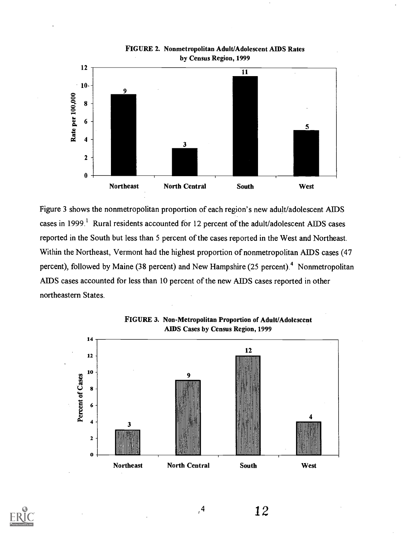

FIGURE 2. Nonmetropolitan Adult/Adolescent AIDS Rates by Census Region, 1999

Figure 3 shows the nonmetropolitan proportion of each region's new adult/adolescent AIDS cases in 1999.<sup>1</sup> Rural residents accounted for 12 percent of the adult/adolescent AIDS cases reported in the South but less than 5 percent of the cases reported in the West and Northeast. Within the Northeast, Vermont had the highest proportion of nonmetropolitan AIDS cases (47 percent), followed by Maine (38 percent) and New Hampshire (25 percent).<sup>4</sup> Nonmetropolitan AIDS cases accounted for less than 10 percent of the new AIDS cases reported in other northeastern States.





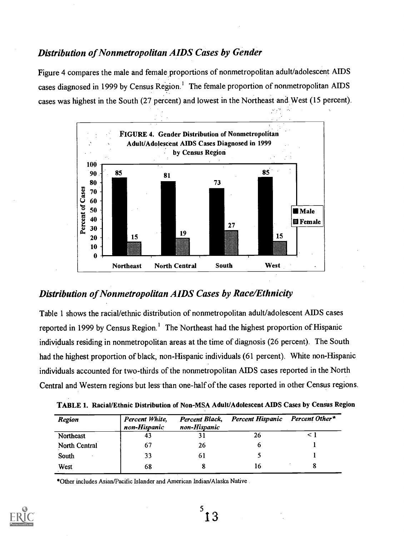### Distribution of Nonmetropolitan AIDS Cases by Gender

Figure 4 compares the male and female proportions of nonmetropolitan adult/adolescent AIDS cases diagnosed in 1999 by Census Region.' The female proportion of nonmetropolitan AIDS cases was highest in the South (27 percent) and lowest in the Northeast and West (15 percent).



### Distribution of Nonmetropolitan AIDS Cases by Race/Ethnicity

Table 1 shows the racial/ethnic distribution of nonmetropolitan adult/adolescent AIDS cases reported in 1999 by Census Region.<sup>1</sup> The Northeast had the highest proportion of Hispanic individuals residing in nonmetropolitan areas at the time of diagnosis (26 percent). The South had the highest proportion of black, non-Hispanic individuals (61 percent). White non-Hispanic individuals accounted for two-thirds of the nonmetropolitan AIDS cases reported in the North Central and Western regions but less-than one-half of the cases reported in other Census regions.

| Region        | Percent White,<br>non-Hispanic | Percent Black,<br>non-Hispanic | <b>Percent Hispanic</b> | Percent Other* |
|---------------|--------------------------------|--------------------------------|-------------------------|----------------|
| Northeast     | 43                             |                                | 26                      |                |
| North Central | 67                             | 26                             |                         |                |
| South         | 33                             | 6 I                            |                         |                |
| West          | 68                             |                                | 16                      |                |

\*Other includes Asian/Pacific Islander and American Indian/Alaska Native .

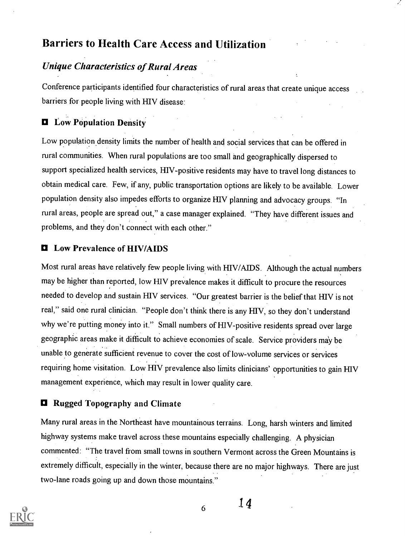### Barriers to Health Care Access and Utilization

### Unique Characteristics of Rural Areas

Conference participants identified four characteristics of rural areas that create unique access barriers for people living with HIV disease:

### **D** Low Population Density

Low population density limits the number of health and social services that can be offered in rural communities. When rural populations are too small and geographically dispersed to support specialized health services, HIV-positive residents may have to travel long distances to obtain medical care. Few, if any, public transportation options are likely to be available. Lower population density also impedes efforts to organize HIV planning and advocacy groups. "In rural areas, people are spread out," a case manager explained. "They have different issues and problems, and they don't connect with each other."

### O Low Prevalence of HIV/AIDS

Most rural areas have relatively few people living with HIV/AIDS. Although the actual numbers may be higher than reported, low HIV prevalence makes it difficult to procure the resources needed to develop and sustain HIV services. "Our greatest barrier is the belief that HIV is not real," said one rural clinician. "People don't think there is any HIV, so they don't understand why we're putting money into it." Small numbers of HIV-positive residents spread over large geographic areas make it difficult to achieve economies of scale. Service providers may be unable to generate sufficient revenue to cover the cost of low-volume services or services requiring home visitation. Low HIV prevalence also limits clinicians' opportunities to gain HIV management experience, which may result in lower quality care.

### O Rugged Topography and Climate

Many rural areas in the Northeast have mountainous terrains. Long, harsh winters and limited highway systems make travel across these mountains especially challenging. A physician commented: "The travel from small towns in southern Vermont across the Green Mountains is extremely difficult, especially in the winter, because there are no major highways. There are just two-lane roads going up and down those mountains."



 $6 \t14$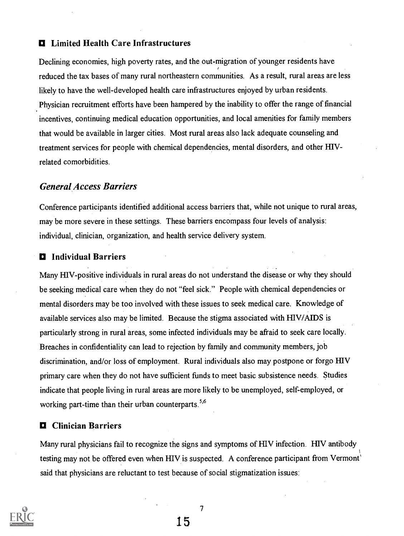### $\blacksquare$  Limited Health Care Infrastructures

Declining economies, high poverty rates, and the out-migration of younger residents have reduced the tax bases of many rural northeastern communities. As a result, rural areas are less likely to have the well-developed health care infrastructures enjoyed by urban residents. Physician recruitment efforts have been hampered by the inability to offer the range of financial incentives, continuing medical education opportunities, and local amenities for family members that would be available in larger cities. Most rural areas also lack adequate counseling and treatment services for people with chemical dependencies, mental disorders, and other HIVrelated comorbidities.

### General Access Barriers

Conference participants identified additional access barriers that, while not unique to rural areas, may be more severe in these settings. These barriers encompass four levels of analysis: individual, clinician, organization, and health service delivery system.

#### $\blacksquare$  Individual Barriers

Many REV-positive individuals in rural areas do not understand the disease or why they should be seeking medical care when they do not "feel sick." People with chemical dependencies or mental disorders may be too involved with these issues to seek medical care. Knowledge of available services also may be limited. Because the stigma associated with HIV/AIDS is particularly strong in rural areas, some infected individuals may be afraid to seek care locally. Breaches in confidentiality can lead to rejection by family and community members, job discrimination, and/or loss of employment. Rural individuals also may postpone or forgo HIV primary care when they do not have sufficient funds to meet basic subsistence needs. Studies indicate that people living in rural areas are more likely to be unemployed, self-employed, or working part-time than their urban counterparts. $5.6$ 

#### **Q** Clinician Barriers

Many rural physicians fail to recognize the signs and symptoms of HIV infection. HIV antibody testing may not be offered even when HIV is suspected. A conference participant from Vermont' said that physicians are reluctant to test because of social stigmatization issues:

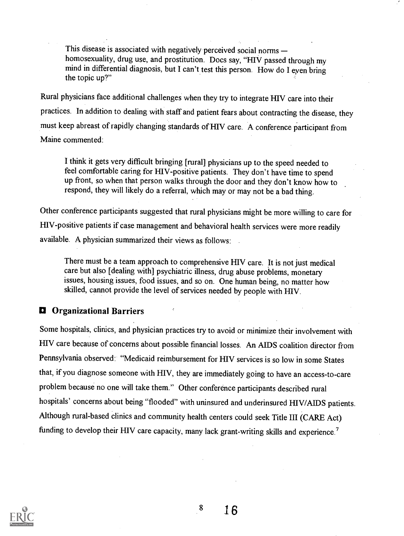This disease is associated with negatively perceived social norms homosexuality, drug use, and prostitution. Docs say, "HIV passed through my mind in differential diagnosis, but I can't test this person. How do I eyen bring the topic up?"

Rural physicians face additional challenges when they try to integrate HIV care into their practices. In addition to dealing with staff and patient fears about contracting the disease, they must keep abreast of rapidly changing standards of HIV care. A conference participant from Maine commented:

I think it gets very difficult bringing [rural] physicians up to the speed needed to feel comfortable caring for HIV-positive patients. They don't have time to spend up front, so when that person walks through the door and they don't know how to respond, they will likely do a referral, which may or may not be a bad thing.

Other conference participants suggested that rural physicians might be more willing to care for HIV-positive patients if case management and behavioral health services were more readily available. A physician summarized their views as follows:

There must be a team approach to comprehensive HIV care. It is not just medical care but also [dealing with] psychiatric illness, drug abuse problems, monetary issues, housing issues, food issues, and so on. One human being, no matter how skilled, cannot provide the level of services needed by people with HIV.

### **D** Organizational Barriers

Some hospitals, clinics, and physician practices try to avoid or minimize their involvement with HIV care because of concerns about possible financial losses. An AIDS coalition director from Pennsylvania observed: "Medicaid reimbursement for HIV services is so low in some States that, if you diagnose someone with HIV, they are immediately going to have an access-to-care problem because no one will take them." Other conference participants described rural hospitals' concerns about being "flooded" with uninsured and underinsured HIV/AIDS patients. Although rural-based clinics and community health centers could seek Title III (CARE Act) funding to develop their HIV care capacity, many lack grant-writing skills and experience.<sup>7</sup>



8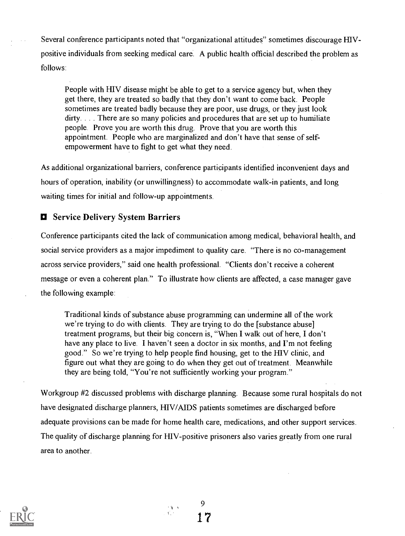Several conference participants noted that "organizational attitudes" sometimes discourage HIVpositive individuals from seeking medical care. A public health official described the problem as follows:

People with HIV disease might be able to get to a service agency but, when they get there, they are treated so badly that they don't want to come back. People sometimes are treated badly because they are poor, use drugs, or they just look dirty. . . . There are so many policies and procedures that are set up to humiliate people. Prove you are worth this drug. Prove that you are worth this appointment. People who are marginalized and don't have that sense of selfempowerment have to fight to get what they need.

As additional organizational barriers, conference participants identified inconvenient days and hours of operation, inability (or unwillingness) to accommodate walk-in patients, and long waiting times for initial and follow-up appointments.

### $\blacksquare$  Service Delivery System Barriers

Conference participants cited the lack of communication among medical, behavioral health, and social service providers as a major impediment to quality care. "There is no co-management across service providers," said one health professional. "Clients don't receive a coherent message or even a coherent plan." To illustrate how clients are affected, a case manager gave the following example:

Traditional kinds of substance abuse programming can undermine all of the work we're trying to do with clients. They are trying to do the [substance abuse] treatment programs, but their big concern is, "When I walk out of here, I don't have any place to live. I haven't seen a doctor in six months, and I'm not feeling good." So we're trying to help people find housing, get to the HIV clinic, and figure out what they are going to do when they get out of treatment. Meanwhile they are being told, "You're not sufficiently working your program."

Workgroup #2 discussed problems with discharge planning. Because some rural hospitals do not have designated discharge planners, HIV/AIDS patients sometimes are discharged before adequate provisions can be made for home health care, medications, and other support services. The quality of discharge planning for HIV-positive prisoners also varies greatly from one rural area to another.



9 17

 $\frac{1}{2}$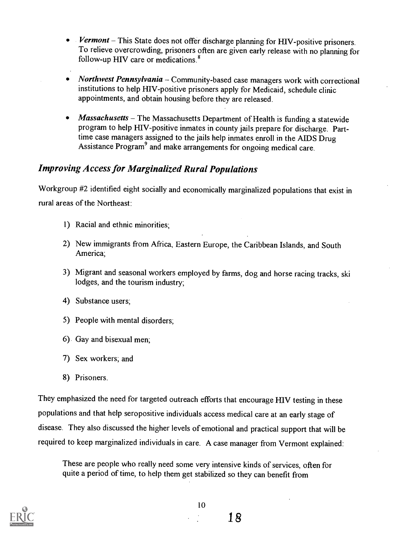- Vermont  $-$  This State does not offer discharge planning for HIV-positive prisoners. To relieve overcrowding, prisoners often are given early release with no planning for follow-up HIV care or medications.<sup>8</sup>
- Northwest Pennsylvania Community-based case managers work with correctional institutions to help HIV-positive prisoners apply for Medicaid, schedule clinic appointments, and obtain housing before they are released.
- $$ program to help HIV-positive inmates in county jails prepare for discharge. Parttime case managers assigned to the jails help inmates enroll in the AIDS Drug Assistance Program<sup>9</sup> and make arrangements for ongoing medical care.

### Improving Access for Marginalized Rural Populations

Workgroup #2 identified eight socially and economically marginalized populations that exist in rural areas of the Northeast:

- 1) Racial and ethnic minorities;
- 2) New immigrants from Africa, Eastern Europe, the Caribbean Islands, and South America;
- 3) Migrant and seasonal workers employed by farms, dog and horse racing tracks, ski lodges, and the tourism industry;
- 4) Substance users;
- 5) People with mental disorders;
- 6) Gay and bisexual men;
- 7) Sex workers; and
- 8) Prisoners.

They emphasized the need for targeted outreach efforts that encourage HIV testing in these populations and that help seropositive individuals access medical care at an early stage of disease. They also discussed the higher levels of emotional and practical support that will be required to keep marginalized individuals in care. A case manager from Vermont explained:

These are people who really need some very intensive kinds of services, often for quite a period of time, to help them get stabilized so they can benefit from



Is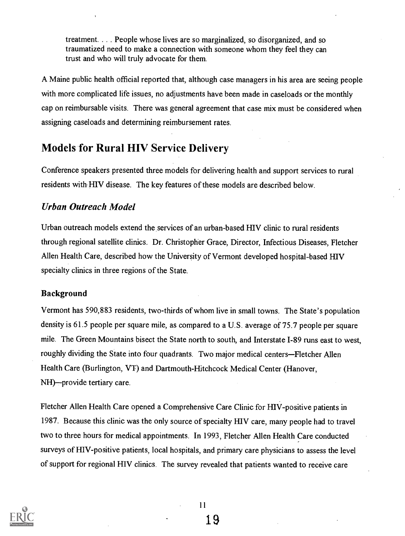treatment. . . . People whose lives are so marginalized, so disorganized, and so traumatized need to make a connection with someone whom they feel they can trust and who will truly advocate for them.

A Maine public health official reported that, although case managers in his area are seeing people with more complicated life issues, no adjustments have been made in caseloads or the monthly cap on reimbursable visits. There was general agreement that case mix must be considered when assigning caseloads and determining reimbursement rates.

### Models for Rural HIV Service Delivery

Conference speakers presented three models for delivering health and support services to rural residents with HIV disease. The key features of these models are described below.

### Urban Outreach Model

Urban outreach models extend the services of an urban-based HIV clinic to rural residents through regional satellite clinics. Dr. Christopher Grace, Director, Infectious Diseases, Fletcher Allen Health Care, described how the University of Vermont developed hospital-based HIV specialty clinics in three regions of the State.

#### Background

Vermont has 590,883 residents, two-thirds of whom live in small towns. The State's population density is 61.5 people per square mile, as compared to a U.S. average of 75.7 people per square mile. The Green Mountains bisect the State north to south, and Interstate 1-89 runs east to west, roughly dividing the State into four quadrants. Two major medical centers-Fletcher Allen Health Care (Burlington, VT) and Dartmouth-Hitchcock Medical Center (Hanover,  $NH$ )—provide tertiary care.

Fletcher Allen Health Care opened a Comprehensive Care Clinic for HIV-positive patients in 1987. Because this clinic was the only source of specialty HIV care, many people had to travel two to three hours for medical appointments. In 1993, Fletcher Allen Health Care conducted surveys of HIV-positive patients, local hospitals, and primary care physicians to assess the level of support for regional HIV clinics. The survey revealed that patients wanted to receive care



11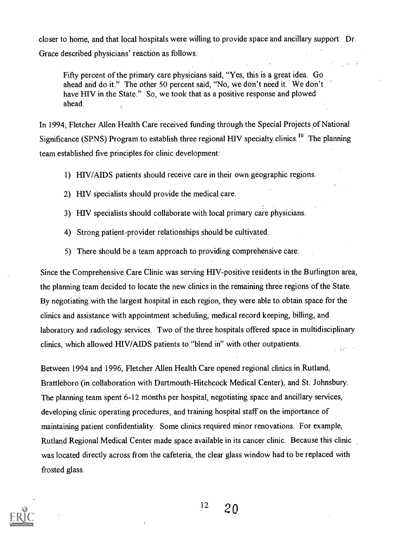closer to home, and that local hospitals were willing to provide space and ancillary support. Dr. Grace described physicians' reaction as follows:

Fifty percent of the primary care physicians said, "Yes, this is a great idea. Go ahead and do it." The other 50 percent said, "No., we don't need it.' We don't have HIV in the State." So, we took that as a positive response and plowed ahead.

In 1994, Fletcher Allen Health Care received funding through the Special Projects of National Significance (SPNS) Program to establish three regional HIV specialty clinics.<sup>10</sup> The planning team established five principles for clinic development:

- 1) HIV/AIDS patients should receive care in their own geographic regions.
- 2) HIV specialists should provide the medical care.
- 3) HIV specialists should collaborate with local primary care physicians.
- 4) Strong patient-provider relationships should'be cultivated.
- 5) There should be a team approach to providing comprehensive care.

Since the Comprehensive Care Clinic was serving HIV-positive residents in the Burlington area, the planning team decided to locate the new clinics in the remaining three regions of the State. By negotiating with the largest hospital in each region, they were able to obtain space for the clinics and assistance with appointment scheduling, medical record keeping, billing, and laboratory and radiology services. Two of the three hospitals offered space in multidisciplinary clinics, which allowed HIV/AIDS patients to "blend in" with other outpatients. **SALE OF** 

Between 1994 and 1996, Fletcher Allen Health Care opened regional clinics in Rutland, Brattleboro (in collaboration with Dartmouth-Hitchcock Medical Center), and St. Johnsbury. The planning team spent 6-12 months per hospital, negotiating space and ancillary services, developing clinic operating procedures, and training hospital staff on the importance of maintaining patient confidentiality. Some clinics required minor renovations. For example, Rutland Regional Medical Center made space available in its cancer clinic. Because this clinic was located directly across from the cafeteria, the clear glass window had to be replaced with frosted glass.

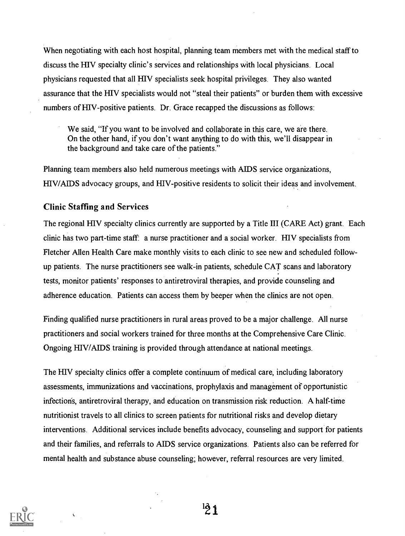When negotiating with each host hospital, planning team members met with the medical staff to discuss the HIV specialty clinic's services and relationships with local physicians. Local physicians requested that all HIV specialists seek hospital privileges. They also wanted assurance that the HIV specialists would not "steal their patients" or burden them with excessive numbers of HIV-positive patients. Dr. Grace recapped the discussions as follows:

We said, "If you want to be involved and collaborate in this care, we are there. On the other hand, if you don't want anything to do with this, we'll disappear in the background and take care of the patients."

Planning team members also held numerous meetings with AIDS service organizations, HIV/AIDS advocacy groups, and HIV-positive residents to solicit their ideas and involvement.

#### Clinic Staffing and Services

The regional HIV specialty clinics currently are supported by a Title III (CARE Act) grant. Each clinic has two part-time staff: a nurse practitioner and a social worker. HIV specialists from Fletcher Allen Health Care make monthly visits to each clinic to see new and scheduled followup patients. The nurse practitioners see walk-in patients, schedule CAT scans and laboratory tests, monitor patients' responses to antiretroviral therapies, and provide counseling and adherence education. Patients can access them by beeper when the clinics are not open.

Finding qualified nurse practitioners in rural areas proved to be a major challenge. All nurse practitioners and social workers trained for three months at the Comprehensive Care Clinic. Ongoing HIV/AIDS training is provided through attendance at national meetings.

The HIV specialty clinics offer a complete continuum of medical care, including laboratory assessments, immunizations and vaccinations, prophylaxis and management of opportunistic infections, antiretroviral therapy, and education on transmission risk reduction. A half-time nutritionist travels to all clinics to screen patients for nutritional risks and develop dietary interventions. Additional services include benefits advocacy, counseling and support for patients and their families, and referrals to AIDS service organizations. Patients also can be referred for mental health and substance abuse counseling; however, referral resources are very limited.

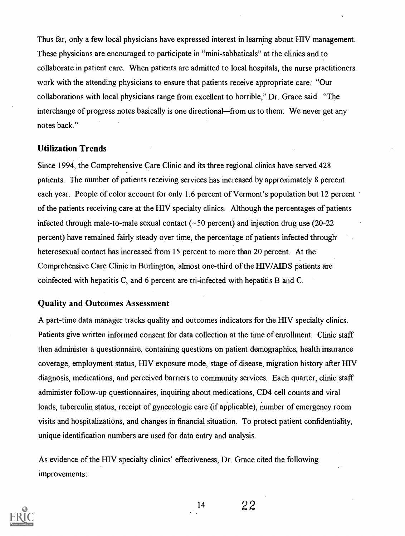Thus far, only a few local physicians have expressed interest in learning about HIV management. These physicians are encouraged to participate in "mini-sabbaticals" at the clinics and to collaborate in patient care. When patients are admitted to local hospitals, the nurse practitioners work with the attending physicians to ensure that patients receive appropriate care: "Our collaborations with local physicians range from excellent to horrible," Dr. Grace said. "The interchange of progress notes basically is one directional—from us to them: We never get any notes back."

### Utilization Trends

Since 1994, the Comprehensive Care Clinic and its three regional clinics have served 428 patients. The number of patients receiving services has increased by approximately 8 percent each year. People of color account for only 1.6 percent of Vermont's population but 12 percent of the patients receiving care at the HIV specialty clinics. Although the percentages of patients infected through male-to-male sexual contact  $(-50$  percent) and injection drug use  $(20-22)$ percent) have remained fairly steady over time, the percentage of patients infected through heterosexual contact has increased from 15 percent to more than 20 percent. At the Comprehensive Care Clinic in Burlington, almost one-third of the HIV/AIDS patients are coinfected with hepatitis C, and 6 percent are tri-infected with hepatitis B and C.

#### Quality and Outcomes Assessment

A part-time data manager tracks quality and outcomes indicators for the HIV specialty clinics. Patients give written informed consent for data collection at the time of enrollment. Clinic staff then administer a questionnaire, containing questions on patient demographics, health insurance coverage, employment status, HIV exposure mode, stage of disease, migration history after HIV diagnosis, medications, and perceived barriers to community services. Each quarter, clinic staff administer follow-up questionnaires, inquiring about medications, CD4 cell counts and viral loads, tuberculin status, receipt of gynecologic care (if applicable), number of emergency room visits and hospitalizations, and changes in financial situation. To protect patient confidentiality, unique identification numbers are used for data entry and analysis.

As evidence of the HIV specialty clinics' effectiveness, Dr. Grace cited the following improvements:

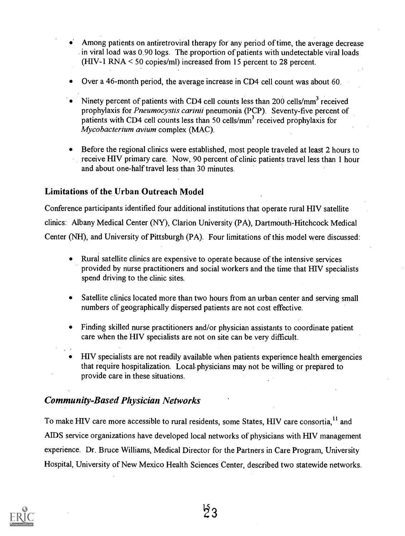- Among patients on antiretroviral therapy for any period of time, the average decrease in viral load was 0.90 logs. The.proportion of patients with undetectable viral loads (HIV-1 RNA < 50 copies/m1) increased from 15 percent to 28 percent.
- Over a 46-month period, the average increase in CD4 cell count was about 60.
- Ninety percent of patients with CD4 cell counts less than 200 cells/mm<sup>3</sup> received prophylaxis for *Pneumocystis carinii* pneumonia (PCP). Seventy-five percent of patients with CD4 cell counts less than 50 cells/ $mm<sup>3</sup>$  received prophylaxis for Mycobacterium avium complex (MAC).
- Before the regional clinics were established, most people traveled at least 2 hours to receive HIV primary care. Now, 90 percent of clinic patients travel less than 1 hour and about one-half travel less than 30 minutes.

### Limitations of the Urban Outreach Model

Conference participants identified four additional institutions that operate rural HIV satellite clinics: Albany Medical Center (NY), Clarion University (PA), Dartmouth-Hitchcock Medical Center (NH), and University of Pittsburgh (PA). Four limitations of this model were discussed:

- Rural satellite clinics are expensive to operate because of the intensive services provided by nurse practitioners and social workers and the time that HIV specialists spend driving to the clinic sites.
- Satellite clinics located more than two hours from an urban center and serving small numbers of geographically dispersed patients are not cost effective.
- Finding skilled nurse practitioners and/or physician assistants to coordinate patient care when the HIV specialists are not on site can be very difficult.
- HIV specialists are not readily available when patients experience health emergencies that require hospitalization. Local,physicians may not be willing or prepared to provide care in these situations.

### Community-Based Physician Networks

To make HIV care more accessible to rural residents, some States, HIV care consortia.<sup>11</sup> and AIDS service organizations have developed local networks of physicians with HIV management experience. Dr. Bruce Williams, Medical Director for the Partners in Care Program, University Hospital, University of New Mexico Health Sciences Center, described two statewide networks.

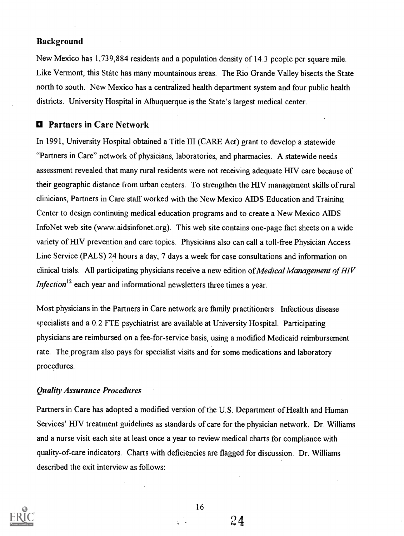#### Background

New Mexico has 1,739,884 residents and a population density of 14.3 people per square mile. Like Vermont, this State has many mountainous areas. The Rio Grande Valley bisects the State north to south. New Mexico has a centralized health department system and four public health districts. University Hospital in Albuquerque is the State's largest medical center.

### O Partners in Care Network

In 1991, University Hospital obtained a Title III (CARE Act) grant to develop a statewide "Partners in Care" network of physicians, laboratories, and pharmacies. A statewide needs assessment revealed that many rural residents were not receiving adequate HIV care because of their geographic distance from urban centers. To strengthen the HIV management skills of rural clinicians, Partners in Care staff worked with the New Mexico AIDS Education and Training Center to design continuing medical education programs and to create a New Mexico AIDS InfoNet web site (www.aidsinfonet.org). This web site contains one-page fact sheets on a wide variety of HIV prevention and care topics. Physicians also can call a toll-free Physician Access Line Service (PALS) 24 hours a day, 7 days a week for case consultations and information on clinical trials. All participating physicians receive a new edition of *Medical Management of HIV* Infection<sup>12</sup> each year and informational newsletters three times a year.

Most physicians in the Partners in Care network are family practitioners. Infectious disease specialists and a 0.2 FTE psychiatrist are available at University Hospital. Participating physicians are reimbursed on a fee-for-service basis, using a modified Medicaid reimbursement rate. The program also pays for specialist visits and for some medications and laboratory procedures.

#### Quality Assurance Procedures

Partners in Care has adopted a modified version of the U.S. Department of Health and Human Services' HIV treatment guidelines as standards of care for the physician network. Dr. Williams and a nurse visit each site at least once a year to review medical charts for compliance with quality-of-care indicators. Charts with deficiencies are flagged for discussion. Dr. Williams described the exit interview as follows:



16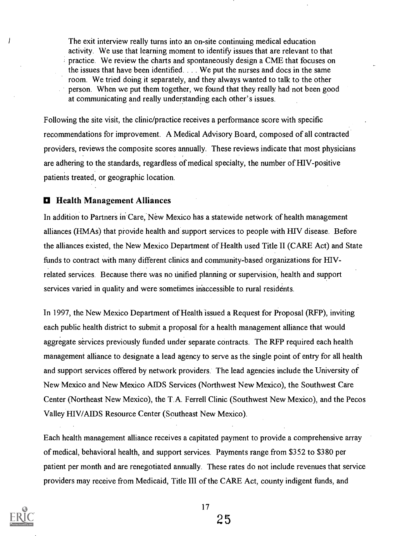The exit interview really turns into an on-site continuing medical education activity. We use that learning moment to identify issues that are relevant to that practice. We review the charts and spontaneously design a CME that focuses on the issues that have been identified. . . .We put the nurses and docs in the same room. We tried doing it separately, and they always wanted to talk to the other person. When we put them together, we found that they really had not been good at communicating and really understanding each other's issues.

Following the site visit, the clinic/practice receives a performance score with specific recommendations for improvement. A Medical Advisory Board, composed of all contracted providers, reviews the composite scores annually. These reviews indicate that most physicians are adhering to the standards, regardless of medical specialty, the number of H1V-positive patients treated, or geographic location.

#### **D** Health Management Alliances

In addition to Partners in Care, New Mexico has a statewide network of health management alliances (HMAs) that provide health and support services to people with HIV disease. Before the alliances existed, the New Mexico Department of Health used Title II (CARE Act) and State funds to contract with many different clinics and community-based organizations for HIVrelated services. Because there was no unified planning or supervision, health and support services varied in quality and were sometimes inaccessible to rural residents.

In 1997, the New Mexico Department of Health issued a Request for Proposal (RFP), inviting each public health district to submit a proposal for a health management alliance that would aggregate services previously funded under separate contracts. The RFP required each health management alliance to designate a lead agency to serve as the single point of entry for all health and support services offered by network providers. The lead agencies include the University of New Mexico and New Mexico AIDS Services (Northwest New Mexico), the Southwest Care Center (Northeast New Mexico), the T.A. Ferrell Clinic (Southwest New Mexico), and the Pecos Valley HIV/AIDS Resource Center (Southeast New Mexico).

Each health management alliance receives a capitated payment to provide a comprehensive array of medical, behavioral health, and support services. Payments range from \$352 to \$380 per patient per month and are renegotiated annually. These rates do not include revenues that service providers may receive from Medicaid, Title III of the CARE Act, county indigent funds, and



I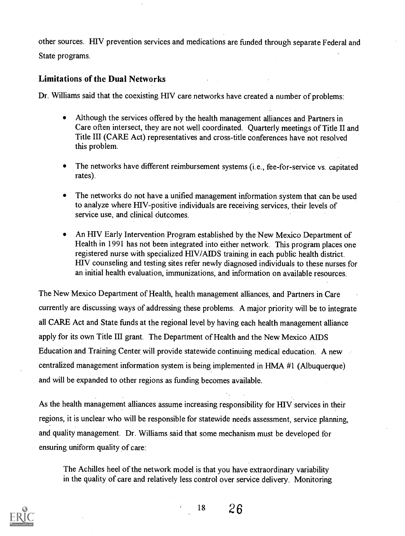other sources. HIV prevention services and medications are funded through separate Federal and State programs.

#### Limitations of the Dual Networks

Dr. Williams said that the coexisting HIV care networks have created a number of problems:

- Although the services offered by the health management alliances and Partners in  $\bullet$ Care often intersect, they are not well coordinated. Quarterly meetings of Title II and Title III (CARE Act) representatives and cross-title conferences have not resolved this problem.
- The networks have different reimbursement systems (i.e., fee-for-service vs. capitated rates).
- The networks do not have a unified management information system that can be used to analyze where REV-positive individuals are receiving services, their levels of service use, and clinical outcomes.
- An HIV Early Intervention Program established by the New Mexico Department of Health in 1991 has not been integrated into either network. This program places one registered nurse with specialized REV/AIDS training in each public health district. HIV counseling and testing sites refer newly diagnosed individuals to these nurses for an initial health evaluation, immunizations, and information on available resources.

The New Mexico Department of Health, health management alliances, and Partners in Care currently are discussing ways of addressing these problems. A major priority will be to integrate all CARE Act and State funds at the regional level by having each health management alliance apply for its own Title III grant. The Department of Health and the New Mexico AIDS Education and Training Center will provide statewide continuing medical education. A new centralized management information system is being implemented in HMA #1 (Mbuquerque) and will be expanded to other regions as funding becomes available.

As the health management alliances assume increasing responsibility for HIV services in their regions, it is unclear who will be responsible for statewide needs assessment, service planning, and quality management. Dr. Williams said that some mechanism must be developed for ensuring uniform quality of care:

The Achilles heel of the network model is that you have extraordinary variability in the quality of care and relatively less control over service delivery. Monitoring



<sup>18</sup> 26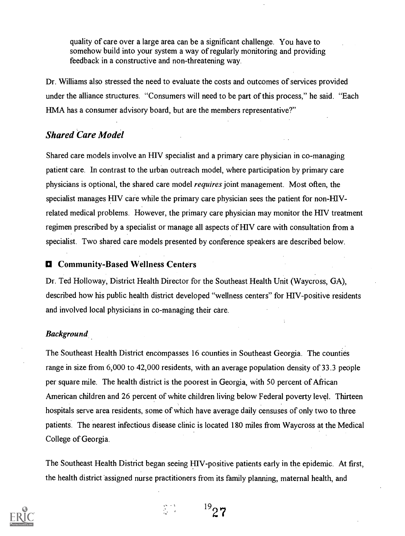quality of care over a large area can be a significant challenge. You have to somehow build into your system a way of regularly monitoring and providing feedback in a constructive and non-threatening way.

Dr. Williams also stressed the need to evaluate the costs and outcomes of services provided under the alliance structures. "Consumers will need to be part of this process," he said. "Each HMA has a consumer advisory board, but are the members representative?"

### Shared Care Model

Shared care models involve an HIV specialist and a primary care physician in co-managing patient care. In contrast to the urban outreach model, where participation by primary care physicians is optional, the shared care model requires joint management. Most often, the specialist manages HIV care while the primary care physician sees the patient for non-HIVrelated medical problems. However, the primary care physician may monitor the HIV treatment regimen prescribed by a specialist or manage all aspects of HIV care with consultation from a specialist. Two shared care models presented by conference speakers are described below.

### 0 Community-Based Wellness Centers

Dr. Ted Holloway, District Health Director for the Southeast Health Unit (Waycross, GA), described how his public health district developed "wellness centers" for HIV-positive residents and involved local physicians in co-managing their care.

### Background

The Southeast Health District encompasses 16 counties in Southeast Georgia. The counties range in size from 6,000 to 42,000 residents, with an average population density of 33.3 people per square mile. The health district is the poorest in Georgia, with 50 percent of African American children and 26 percent of white children living below Federal poverty level. Thirteen hospitals serve area residents, some of which have average daily censuses of only two to three patients. The nearest infectious disease clinic is located 180 miles from Waycross at the Medical College of Georgia.

The Southeast Health District began seeing HIV-positive patients early in the epidemic. At first, the health district assigned nurse practitioners from its family planning, maternal health, and



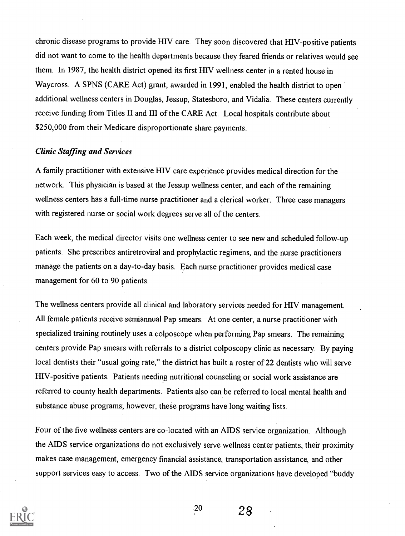chronic disease programs to provide HIV care. They soon discovered that RIV-positive patients did not want to come to the health departments because they feared friends or relatives would see them. In 1987, the health district opened its first FIIV wellness center in a rented house in Waycross. A SPNS (CARE Act) grant, awarded in 1991, enabled the health district to open additional wellness centers in Douglas, Jessup, Statesboro, and Vidalia. These centers currently receive funding from Titles II and III of the CARE Act. Local hospitals contribute about \$250,000 from their Medicare disproportionate share payments.

#### Clinic Staffing and Services

A family practitioner with extensive HIV care experience provides medical direction for the network. This physician is based at the Jessup wellness center, and each of the remaining wellness centers has a full-time nurse practitioner and a clerical worker. Three case managers with registered nurse or social work degrees serve all of the centers.

Each week, the medical director visits one wellness center to see new and scheduled follow-up patients. She prescribes antiretroviral and prophylactic regimens, and the nurse practitioners manage the patients on a day-to-day basis. Each nurse practitioner provides medical case management for 60 to 90 patients.

The wellness centers provide all clinical and laboratory services needed for HIV management. All female patients receive semiannual Pap smears. At one center, a nurse practitioner with specialized training routinely uses a colposcope when performing Pap smears. The remaining centers provide Pap smears with referrals to a district colposcopy clinic as necessary. By paying local dentists their "usual going rate," the district has built a roster of 22 dentists who will serve HIV-positive patients. Patients needing nutritional counseling or social work assistance are referred to county health departments. Patients also can be referred to local mental health and substance abuse programs; however, these programs have long waiting lists.

Four of the five wellness centers are co-located with an AIDS service organization. Although the AIDS service organizations do not exclusively serve wellness center patients, their proximity makes case management, emergency financial assistance, transportation assistance, and other support services easy to access. Two of the AIDS service organizations have developed "buddy



<sup>20</sup> 28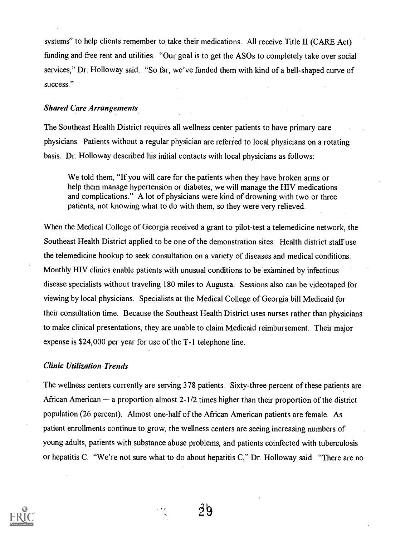systems" to help clients remember to take their medications. All receive Title II (CARE Act) funding and free rent and utilities. "Our goal is to get the ASOs to completely take over social services," Dr. Holloway said. "So far, we've funded them with kind of a bell-shaped curve of success."

#### Shared Care Arrangements

The Southeast Health District requires all wellness center patients to have primary care physicians. Patients without a regular physician are referred to local physicians on a rotating basis. Dr. Holloway described his initial contacts with local physicians as follows:

We told them, "If you will care for the patients when they have broken arms or help them manage hypertension or diabetes, we will manage the HIV medications and complications." A lot of physicians were kind of drowning with two or three patients, not knowing what to do with them, so they were very relieved.

When the Medical College of Georgia received a grant to pilot-test a telemedicine network, the Southeast Health District applied to be one of the demonstration sites. Health district staff use the telemedicine hookup to seek consultation on a variety of diseases and medical conditions. Monthly HIV clinics enable patients with unusual conditions to be examined by infectious disease specialists without traveling 180 miles to Augusta. Sessions also can be videotaped for viewing by local physicians. Specialists at the Medical College of Georgia bill Medicaid for their consultation time. Because the Southeast Health District uses nurses rather than physicians to make clinical presentations, they are unable to claim Medicaid reimbursement. Their major expense is \$24,000 per year for use of the T-1 telephone line.

#### Clinic Utilization Trends

The wellness centers currently are serving 378 patients. Sixty-three percent of these patients are African American  $-$  a proportion almost 2-1/2 times higher than their proportion of the district population (26 percent). Almost one-half of the African American patients are female. As patient enrollments continue to grow, the wellness centers are seeing increasing numbers of young adults, patients with substance abuse problems, and patients coinfected with tuberculosis or hepatitis C. "We're not sure what to do about hepatitis C," Dr. Holloway said. "There are no



φþ

1.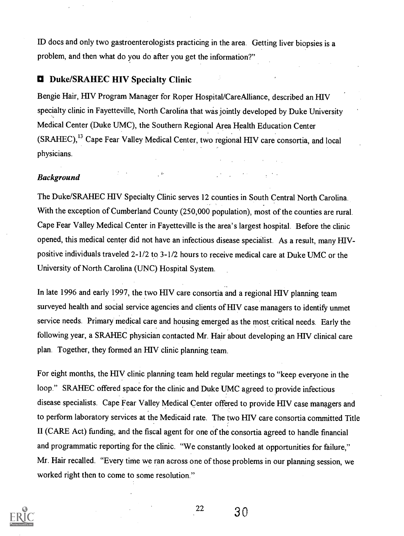ID docs and only two gastroenterologists practicing in the area. Getting liver biopsies is a problem, and then what do you do after you get the information?"

### **D** Duke/SRAHEC HIV Specialty Clinic

Bengie Hair, HIV Program Manager for Roper Hospital/CareAlliance, described an HIV specialty clinic in Fayetteville, North Carolina that was jointly developed by Duke University Medical Center (Duke UMC), the Southern Regional Area Health Education Center (SRAHEC),<sup>13</sup> Cape Fear Valley Medical Center, two regional HIV care consortia, and local physicians.

#### Background

The Duke/SRAHEC HIV Specialty Clinic serves 12 counties in South Central North Carolina. With the exception of Cumberland County (250,000 population), most of the counties are rural. Cape Fear Valley Medical Center in Fayetteville is the area's largest hospital. Before the clinic opened, this medical center did not have an infectious disease specialist. As a result, many HIVpositive individuals traveled 2-1/2 to 3-1/2 hours to receive medical care at Duke UMC or the University of North Carolina (UNC) Hospital System.

 $\mathcal{L}^{\text{max}}(\mathcal{L}^{\text{max}})$ 

In late 1996 and early 1997, the two HIV care consortia and a regional HIV planning team surveyed health and social service agencies and clients of HIV case managers to identify unmet service needs. Primary medical care and housing emerged as the most critical needs. Early the following year, a SRAHEC physician contacted Mr. Hair about developing an HIV clinical care plan. Together, they formed an HIV clinic planning team.

For eight months, the HIV clinic planning team held regular meetings to "keep everyone in the loop." SRAHEC offered space for the clinic and Duke UMC agreed to provide infectious disease specialists. Cape Fear Valley Medical Center offered to provide HIV case managers and to perform laboratory services at the Medicaid rate. The two HIV care consortia committed Title II (CARE Act) funding, and the fiscal agent for one of the consortia agreed to handle financial and programmatic reporting for the clinic. "We constantly looked at opportunities for failure," Mr. Hair recalled. "Every time we ran across one of those problems in our planning session, we worked right then to come to some resolution."



 $^{22}$  30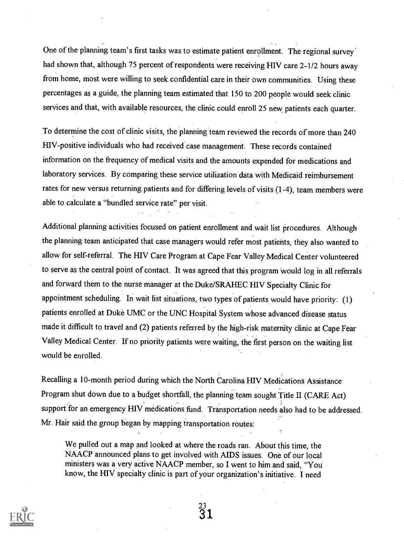One of the planning team's first tasks was to estimate patient enrollment. The regional survey' had shown that, although 75 percent of respondents were receiving HIV care 2-1/2 hours away from home, most were willing to seek confidential care in their own communities. Using these percentages as a guide, the planning team estimated that 150 to 200 people would seek clinic services and that, with available resources, the clinic could enroll 25 new, patients each quarter.

To determine the cost of clinic visits, the planning team reviewed the records of more than 240 HIV-positive individuals who had received case management. These records contained information on the frequency of medical visits and the amounts expended for medications and laboratory services. By comparing these service utilization data with Medicaid reimbursement rates for new versus returning patients and for differing levels of visits (1-4), team members were able to calculate a "bundled service rate" per visit.

Additional planning activities focused on patient enrollment and wait list procedures. Although the planning team anticipated that case managers would refer most patients, they also wanted to allow for self-referral. The HIV Care Program at Cape Fear Valley Medical Center volunteered to serve as the central point of contact. It was agreed that this program Would log in all referrals and forward them to the nurse manager at the Duke/SRAHEC HIV Specialty Clinic for appointment scheduling. In wait list situations, two types of patients would have priority: (1) patients enrolled at Duke UMC or the UNC Hospital System whose advanced disease status made it difficult to travel and (2) patients referred by the high-risk maternity clinic at Cape Fear Valley Medical Center. If no priority patients were waiting, the first person on the waiting list would be enrolled.

Recalling a 10-month period during which the North Carolina HIV Medications Assistance Program shut down due to a budget shortfall, the planning team sought Title II (CARE Act) support for an emergency HIV medications fund. Transportation needs also had to be addressed. Mr. Hair said the group began by mapping transportation routes:

We pulled out a map and looked at where the roads ran. About this time, the NAACP announced plans to get involved with AIDS issues. One of our local ministers was a very active NAACP member, so I went to him and said, "You know, the HIV specialty clinic is part of your organization's initiative. I need

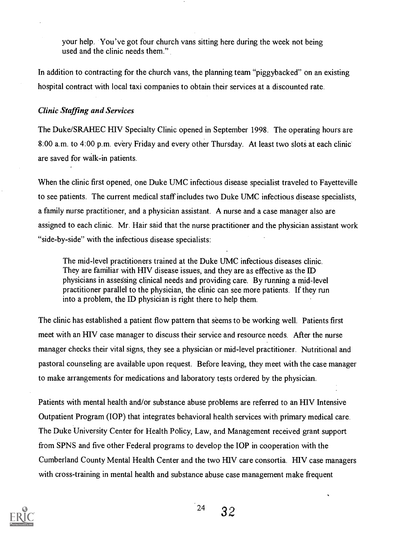your help. You've got four church vans sitting here during the week not being used and the clinic needs them."

In addition to contracting for the church vans, the planning team "piggybacked" on an existing hospital contract with local taxi companies to obtain their services at a discounted rate.

#### Clinic Staffing and Services

The Duke/SRAHEC HIV Specialty Clinic opened in September 1998. The operating hours are 8:00 a.m. to 4:00 p.m. every Friday and every other Thursday. At least two slots at each clinic are saved for walk-in patients.

When the clinic first opened, one Duke UMC infectious disease specialist traveled to Fayetteville to see patients. The current medical staff includes two Duke UMC infectious disease specialists, a family nurse practitioner, and a physician assistant. A nurse and a case manager also are assigned to each clinic. Mr. Hair said that the nurse practitioner and the physician assistant work "side-by-side" with the infectious disease specialists:

The mid-level practitioners trained at the Duke UMC infectious diseases clinic. They are familiar with HIV disease issues, and they are as effective as the ID physicians in assessing clinical needs and providing care. By running a mid-level practitioner parallel to the physician, the clinic can see more patients. If they run into a problem, the ID physician is right there to help them.

The clinic has established a patient flow pattern that seems to be working well. Patients first meet with an HIV case manager to discuss their service and resource needs. After the nurse manager checks their vital signs, they see a physician or mid-level practitioner. Nutritional and pastoral counseling are available upon request. Before leaving, they meet with the case manager to make arrangements for medications and laboratory tests ordered by the physician.

Patients with mental health and/or substance abuse problems are referred to an HIV Intensive Outpatient Program (TOP) that integrates behavioral health services with primary medical care. The Duke University Center for Health Policy, Law, and Management received grant support from SPNS and five other Federal programs to develop the IOP in cooperation with the Cumberland County Mental Health Center and the two HIV care consortia. HIV case managers with cross-training in mental health and substance abuse case management make frequent

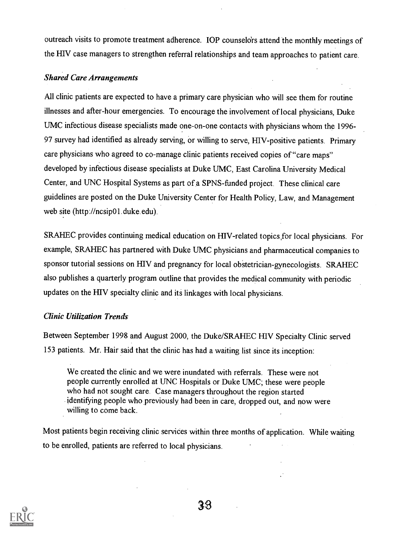outreach visits to promote treatment adherence. IOP counselors attend the monthly meetings of the HIV case managers to strengthen referral relationships and team approaches to patient care.

#### Shared Care Arrangements

All clinic patients are expected to have a primary care physician who will see them for routine illnesses and after-hour emergencies. To encourage the involvement of local physicians, Duke UMC infectious disease specialists made one-on-one contacts with physicians whom the 1996- 97 survey had identified as already serving, or willing to serve, HIV-positive patients. Primary care physicians who agreed to co-manage clinic patients received copies of "care maps" developed by infectious disease specialists at Duke UMC, East Carolina University Medical Center, and UNC Hospital Systems as part of a SPNS-funded project. These clinical care guidelines are posted on the Duke University Center for Health Policy, Law, and Management web site (http://ncsip01.duke.edu).

SRAHEC provides continuing medical education on HIV-related topics for local physicians. For example, SRAHEC has partnered with Duke UMC physicians and pharmaceutical companies to sponsor tutorial sessions on HIV and pregnancy for local obstetrician-gynecologists. SRAHEC also publishes a quarterly program outline that provides the medical community with periodic updates on the HIV specialty clinic and its linkages with local physicians.

### Clinic Utilization Trends

Between September 1998 and August 2000, the Duke/SRAHEC HIV Specialty Clinic served 153 patients. Mr. Hair said that the clinic has had a waiting list since its inception:

We created the clinic and we were inundated with referrals. These were not people currently enrolled at UNC Hospitals or Duke UMC; these were people who had not sought care. Case managers throughout the region started identifying people who previously, had been in care, dropped out, and now were willing to come back.

Most patients begin receiving clinic services within three months of application. While waiting to be enrolled, patients are referred to local physicians.

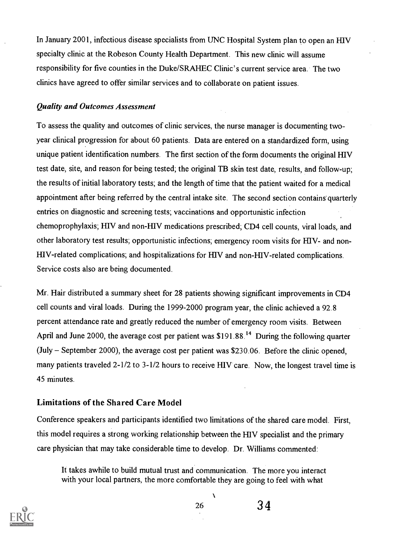In January 2001, infectious disease specialists from UNC Hospital System plan to open an HIV specialty clinic at the Robeson County Health Department. This new clinic will assume responsibility for five counties in the Duke/SRAFIEC Clinic's current service area. The two clinics have agreed to offer similar services and to collaborate on patient issues.

#### Quality and Outcomes Assessment

To assess the quality and outcomes of clinic services, the nurse manager is documenting twoyear clinical progression for about 60 patients. Data are entered on a standardized form, using unique patient identification numbers. The first section of the form documents the original HIV test date, site, and reason for being tested; the original TB skin test date, results, and follow-up; the results of initial laboratory tests; and the length of time that the patient waited for a medical appointment after being referred by the central intake site. The second section contains quarterly entries on diagnostic and screening tests; vaccinations and opportunistic infection chemoprophylaxis; HIV and non-HIV medications prescribed; CD4 cell counts, viral loads, and other laboratory test results; opportunistic infections; emergency room visits for HIV- and non-HIV-related complications; and hospitalizations for HIV and non-HIV-related complications. Service costs also are being documented.

Mr. Hair distributed a summary sheet for 28 patients showing significant improvements in CD4 cell counts and viral loads. During the 1999-2000 program year, the clinic achieved a 92.8 percent attendance rate and greatly reduced the number of emergency room visits. Between April and June 2000, the average cost per patient was \$191.88.<sup>14</sup> During the following quarter  $(July - September 2000)$ , the average cost per patient was \$230.06. Before the clinic opened, many patients traveled 2-1/2 to 3-1/2 hours to receive HIV care. Now, the longest travel time is 45 minutes.

### Limitations of the Shared Care Model

Conference speakers and participants identified two limitations of the shared care model. First, this model requires a strong working relationship between the HIV specialist and the primary care physician that may take considerable time to develop. Dr. Williams commented:

It takes awhile to build mutual trust and communication. The more you interact with your local partners, the more comfortable they are going to feel with what



À

26 3 4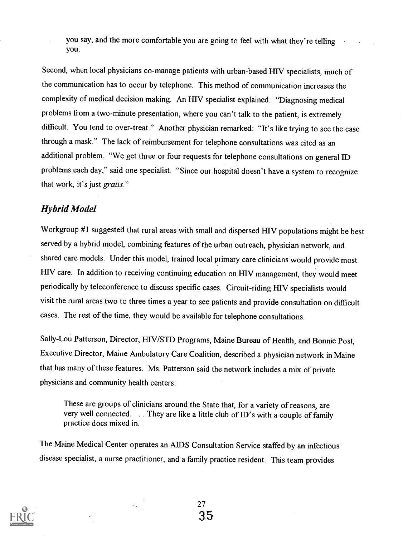you say, and the more comfortable you are going to feel with what they're telling you.

Second, when local physicians co-manage patients with urban-based HIV specialists, much of the communication has to occur by telephone. This method of communication increases the complexity of medical decision making. An HIV specialist explained: "Diagnosing medical problems from a two-minute presentation, where you can't talk to the patient, is extremely difficult. You tend to over-treat." Another physician remarked: "It's like trying to see the case through a mask." The lack of reimbursement for telephone consultations was cited as an additional problem. "We get three or four requests for telephone consultations on general ID problems each day," said one specialist. "Since our hospital doesn't have a system to recognize that work, it's just gratis."

### Hybrid Model

Workgroup #1 suggested that rural areas with small and dispersed HIV populations might be best served by a hybrid model, combining features of the urban outreach, physician network, and shared care models. Under this model, trained local primary care clinicians would provide most HIV care. In addition to receiving continuing education on HIV management, they would meet periodically by teleconference to discuss specific cases. Circuit-riding HIV specialists would visit the rural areas two to three times a year to see patients and provide consultation on difficult cases. The rest of the time, they would be available for telephone consultations.

Sally-Lou Patterson, Director, HIV/STD Programs, Maine Bureau of Health, and Bonnie Post, Executive Director, Maine Ambulatory Care Coalition, described a physician network in Maine that has many of these features. Ms. Patterson said the network includes a mix of private physicians and community health centers:

These are groups of clinicians around the State that, for a variety of reasons, are very well connected. . . . They are like a little club of ID's with a couple of family practice docs mixed in.

The Maine Medical Center operates an AIDS Consultation Service staffed by an infectious disease specialist, a nurse practitioner, and a family practice resident. This team provides

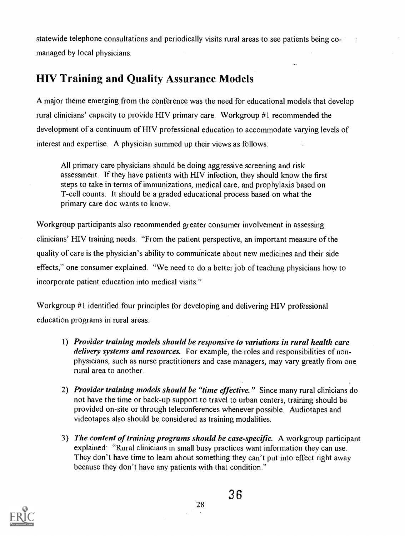statewide telephone consultations and periodically visits rural areas to see patients being comanaged by local physicians.

### HIV Training and Quality Assurance Models

A major theme emerging from the conference was the need for educational models that develop rural clinicians' capacity to provide HIV primary care. Workgroup #1 recommended the development of a continuum of HIV professional education to accommodate varying levels of interest and expertise. A physician summed up their views as follows:

All primary care physicians should be doing aggressive screening and risk assessment. If they have patients with HIV infection, they should know the first steps to take in terms of immunizations, medical care, and prophylaxis based on T-cell counts. It should be a graded educational process based on what the primary care doc wants to know.

Workgroup participants also recommended greater consumer involvement in assessing clinicians' HIV training needs. "From the patient perspective, an important measure of the quality of care is the physician's ability to communicate about new medicines and their side effects," one consumer explained. "We need to do a better job of teaching physicians how to incorporate patient education into medical visits."

Workgroup #1 identified four principles for developing and delivering HIV professional education programs in rural areas:

- 1) Provider training models should be responsive to variations in rural health care delivery systems and resources. For example, the roles and responsibilities of nonphysicians, such as nurse practitioners and case managers, may vary greatly from one rural area to another.
- 2) Provider training models should be "time effective." Since many rural clinicians do not have the time or back-up support to travel to urban centers, training should be provided on-site or through teleconferences whenever possible. Audiotapes and videotapes also should be considered as training modalities.
- 3) The content of training programs should be case-specific. A workgroup participant explained: "Rural clinicians in small busy practices want information they can use. They don't have time to learn about something they can't put into effect right away because they don't have any patients with that condition."

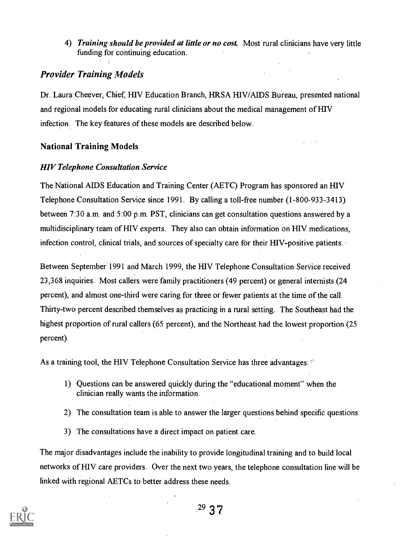4) Training should be provided at little or no cost. Most rural clinicians have very little funding for continuing education.

### Provider Training Models

Dr. Laura Cheever, Chief, HIV Education Branch, HRSA HIV/AIDS Bureau, presented national and regional 'models for educating rural clinicians about the medical management of HIV infection. The key features of these models are described below.

### National Training Models

### HIV Telephone Consultation Service

The National AIDS Education and Training Center (AETC) Program has sponsored an HIV Telephone Consultation Service since 1991. By calling a toll-free number (1-800-933-3413) between 7:30 a.m. and 5:00 p.m. PST, clinicians can get consultation questions answered by a multidisciplinary team of HIV experts. They also can obtain information on HIV medications, infection control, clinical trials, and sources of specialty care for their HIV-positive patients.

Between September 1991 and March 1999, the HIV Telephone Consultation Service received 23,368 inquiries. Most callers were family practitioners (49 percent) or general internists (24 percent), and almost one-third were caring for three or fewer patients at the time of the call. Thirty-two percent described themselves as practicing in a rural setting. The Southeast had the highest proportion of rural callers (65 percent), and the Northeast had the lowest proportion (25 percent).

As a training tool, the HIV Telephone Consultation Service has three advantages:

- 1) Questions can be answered quickly during the "educational moment" when the clinician really wants the information.
- 2) The consultation team is able to answer the larger questions behind specific questions.
- 3) The consultations have a direct impact on patient care.

The major disadvantages include the inability to provide longitudinal training and to build local networks of HIV care providers. Over the next two years, the telephone consultation line will be linked with regional AETCs to better address these needs.

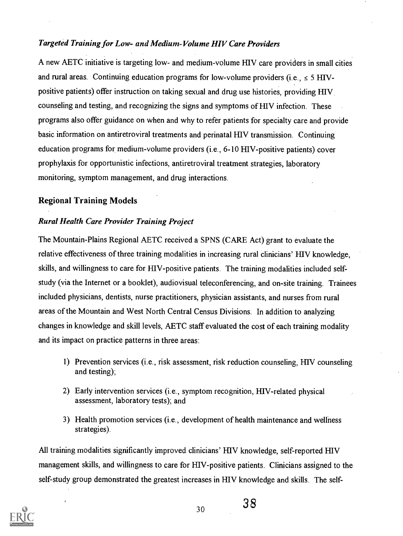### Targeted Training for Low- and Medium-Volume HIV Care Providers

A new AETC initiative is targeting low- and medium-volume HIV care providers in small cities and rural areas. Continuing education programs for low-volume providers (i.e.,  $\le 5$  HIVpositive patients) offer instruction on taking sexual and drug use histories, providing HIV counseling and testing, and recognizing the signs and symptoms of HIV infection. These programs also offer guidance on when and why to refer patients for specialty care and provide basic information on antiretroviral treatments and perinatal HIV transmission. Continuing education programs for medium-volume providers (i.e., 6-10 HIV-positive patients) cover prophylaxis for opportunistic infections, antiretroviral treatment strategies, laboratory monitoring, symptom management, and drug interactions.

### Regional Training Models

### Rural Health Care Provider Training Project

The Mountain-Plains Regional AETC received a SPNS (CARE Act) grant to evaluate the relative effectiveness of three training modalities in increasing rural clinicians' HIV knowledge, skills, and willingness to care for HIV-positive patients. The training modalities included selfstudy (via the Internet or a booklet), audiovisual teleconferencing, and on-site training. Trainees included physicians, dentists, nurse practitioners, physician assistants, and nurses from rural areas of the Mountain and West North Central Census Divisions. In addition to analyzing changes in knowledge and skill levels, AETC staff evaluated the cost of each training modality and its impact on practice patterns in three areas:

- 1) Prevention services (i.e., risk assessment, risk reduction counseling, HIV counseling and testing);
- 2) Early intervention services (i.e., symptom recognition, HIV-related physical assessment, laboratory tests); and
- 3) Health promotion services (i.e., development of health maintenance and wellness strategies).

All training modalities significantly improved clinicians' HIV knowledge, self-reported HIV management skills, and willingness to care for HIV-positive patients. Clinicians assigned to the self-study group demonstrated the greatest increases in HIV knowledge and skills. The self-

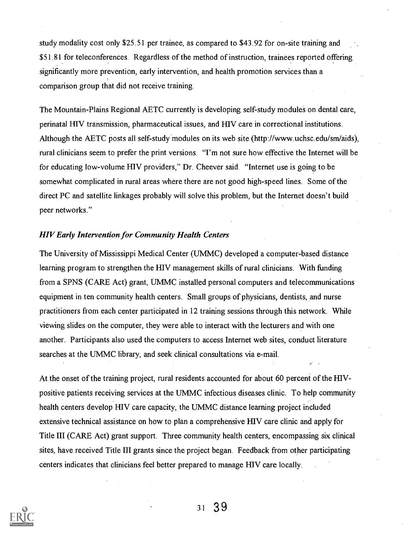study modality cost only \$25.51 per trainee, as compared to \$43.92 for on-site training and \$51.81 for teleconferences. Regardless of the method of instruction, trainees reported offering significantly more prevention, early intervention, and health promotion services than a comparison group that did not receive training.

The Mountain-Plains Regional AETC currently is developing self-study modules on dental care, perinatal HIV transmission, pharmaceutical issues, and HIV care in correctional institutions. Although the AETC posts all self-study modules on its web site (http://www.uchsc.edu/sm/aids), rural clinicians seem to prefer the print versions. "I'm not sure how effective the Internet will be for educating low-volume HIV providers," Dr. Cheever said. "Internet use is going to be somewhat complicated in rural areas where there are not good high-speed lines. Some of the direct PC and satellite linkages probably will solve this problem, but the Internet doesn't build peer networks."

#### HIV Early Intervention for Community Health Centers

The University of Mississippi Medical Center (UMMC) developed a computer-based distance learning program to strengthen-the 111V management skills of rural clinicians. With funding from a SPNS (CARE Act) grant, UMMC installed personal computers and telecommunications equipment in ten community health centers. Small groups of physicians, dentists, and nurse practitioners from each center participated in 12 training sessions through this network. While viewing slides on the computer, they were able to interact with the lecturers and with one another. Participants also used the computers to access Internet web sites, conduct literature searches at the UMMC library, and seek clinical consultations via e-mail.

At the onset of the training project, rural residents accounted for about 60 percent of the HIVpositive patients receiving services at the UMMC infectious diseases clinic. To help community health centers develop HIV care capacity, the UMMC distance learning project included extensive technical assistance on how to plan a comprehensive HIV care clinic and apply for Title III (CARE Act) grant support. Three community health centers, encompassing six clinical sites, have received Title III grants since the project began. Feedback from other participating centers indicates that clinicians feel better prepared to manage HIV care locally.

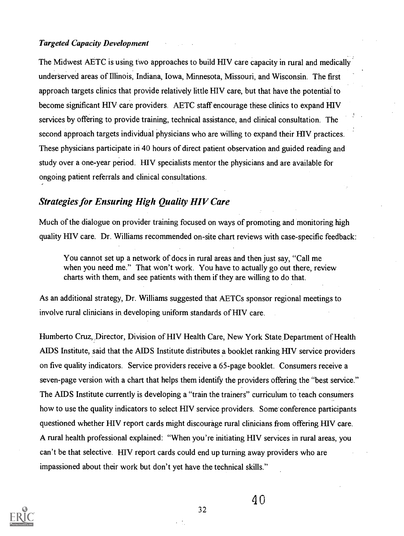#### Targeted Capacity Development

The Midwest AETC is using two approaches to build HIV care capacity in rural and medically underserved areas of Illinois, Indiana, Iowa, Minnesota, Missouri, and Wisconsin. The first approach targets clinics that provide relatively little HIV care, but that have the potential to become significant HIV care providers. AETC staff encourage these clinics to expand HIV services by offering to provide training, technical assistance, and clinical consultation. The second approach targets individual physicians who are willing to expand their HIV practices. These physicians participate in 40 hours of direct patient observation and guided reading and study over a one-year period. HIV specialists mentor the physicians and are available for ongoing patient referrals and clinical consultations.

### Strategies for Ensuring High Quality HIV Care

Much of the dialogue on provider training focused on ways of promoting and monitoring high quality HIV care. Dr. Williams recommended on-site chart reviews with case-specific feedback:

You cannot set up a network of docs in rural areas and then just say, "Call me when you need me." That won't work. You have to actually go out there, review charts with them, and see patients with them if they are willing to do that.

As an additional strategy, Dr. Williams suggested that AETCs sponsor regional meetings to involve rural clinicians in developing uniform standards of HIV care.

Humberto Cruz, Director, Division of HIV Health Care, New York State Department of Health AIDS Institute, said that the AIDS Institute distributes a booklet ranking HIV service providers on five quality indicators. Service providers receive a 65-page booklet. Consumers receive a seven-page version with a chart that helps them identify the providers offering the "best service." The AIDS Institute currently is developing a "train the trainers" curriculum to teach consumers how to use the quality indicators to select HIV service providers. Some conference participants questioned whether HIV report cards might discourage rural clinicians from offering HIV care. A rural health professional explained: "When you're initiating HIV services in rural areas, you can't be that selective. HIV report cards could end up turning away providers who are impassioned about their work but don't yet have the technical skills."

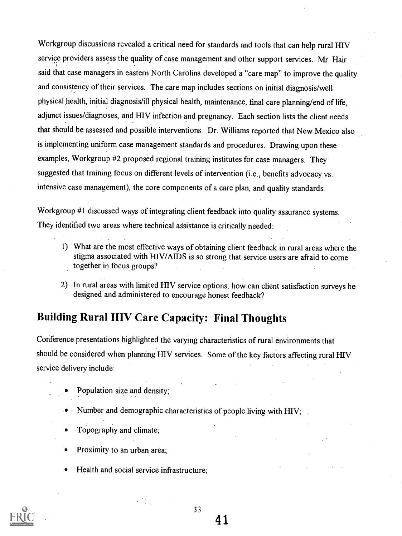Workgroup discussions revealed a critical need for standards and tools that can help rural HIV service providers assess the quality of case management and other support services. Mr. Hair said that case managers in eastern North Carolina developed a "care map" to improve the quality and consistency of their services. The care map includes sections on initial diagnosis/well physical health, initial diagnosis/ill physical health, maintenance, final care planning/end of life, adjunct issues/diagnoses, and HIV infection and pregnancy. Each section lists the client needs that should be assessed and possible interventions. Dr. Williams reported that New Mexico also is implementing uniform case management standards and procedures. Drawing upon these examples, Workgroup #2 proposed regional training institutes for case managers. They suggested that training focus on different levels of intervention (i.e., benefits advocacy vs. intensive case management), the core components of a care plan, and quality standards.

Workgroup #1 discussed ways of integrating client feedback into quality assurance systems. They identified two areas where technical assistance is critically needed:

- 1) What are the most effective ways of obtaining client feedback in rural areas where the stigma associated with HIV/AIDS is so strong that service users are afraid to come together in focus groups?
- 2) In rural areas with limited HIV service options, how can client satisfaction surveys be designed and administered to encourage honest feedback?

### Building Rural HIV Care Capacity: Final Thoughts

Conference presentations highlighted the varying characteristics of rural environments that should be considered when planning HIV services. Some of the key factors affecting rural HIV service 'delivery include:

- Population size and density;
- Number and demographic characteristics of people living with HIV;
- Topography and climate;
- Proximity to an urban area;
- Health and social service infrastructure;

 $\mathcal{N} \subset \mathcal{N}$ 



33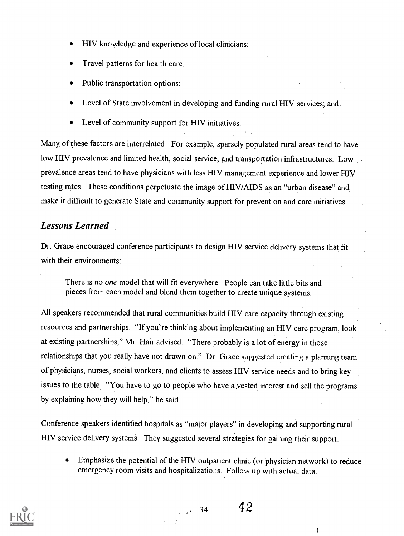- HIV knowledge and experience of local clinicians;
- Travel patterns for health care;
- Public transportation options;
- Level of State involvement in developing and funding rural HIV services; and.
- Level of community support for HIV initiatives.

Many, of these factors are interrelated. For example, sparsely populated rural areas tend to have low HIV prevalence and limited health, social service, and transportation infrastructures. Low prevalence areas tend to have physicians with less HIV management experience and lower HIV testing rates. These conditions perpetuate the image of HIV/AIDS as an "urban disease" and make it difficult to generate State and community support for prevention and care initiatives.

### Lessons Learned

Dr. Grace encouraged conference participants to design HIV service delivery systems that fit with their environments:

There is no *one* model that will fit everywhere. People can take little bits and pieces from each model and blend them together to create unique systems.

All speakers recommended that rural communities build HIV care capacity through existing resources and partnerships. "If you're thinking about implementing an HIV care program, look at existing partnerships," Mr. Hair advised. "There probably is a lot of energy in those relationships that you really have not drawn on." Dr. Grace suggested creating a planning team of physicians, nurses, social workers, and clients to assess HIV service needs and to bring key issues to the table. "You have to go to people who have a vested interest and sell the programs by explaining how they will help," he said.

Conference speakers identified hospitals as "major players" in developing and supporting rural HIV service delivery systems. They suggested several strategies for gaining their support:

Emphasize the potential of the HIV outpatient clinic (or physician network) to reduce emergency room visits and hospitalizations. Follow up with actual data.



i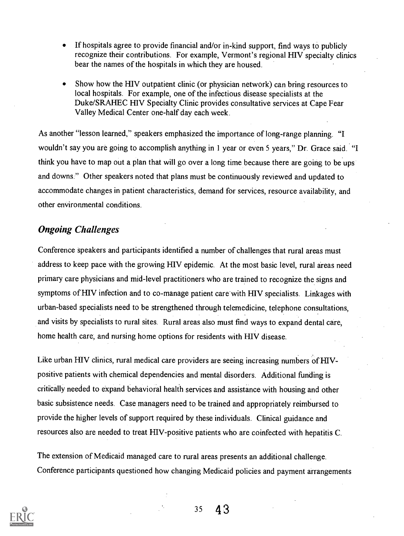- If hospitals agree to provide financial and/or in-kind support, find ways to publicly recognize their contributions. For example, Vermont's regional HIV specialty clinics bear the names of the hospitals in which they are housed.
- Show how the HIV outpatient clinic (or physician network) can bring resources to local hospitals. For example, one of the infectious disease specialists at the Duke/SRAHEC HIV Specialty Clinic provides consultative services at Cape Fear Valley Medical Center one-half day each week.

As another "lesson learned," speakers emphasized the importance of long-range planning. "I wouldn't say you are going to accomplish anything in 1 year or even 5 years," Dr. Grace said. "I think you have to map out a plan that will go over a long time because there are going to be ups and downs." Other speakers noted that plans must be continuously reviewed and updated to accommodate changes in patient characteristics, demand for services, resource availability, and other environmental conditions.

### Ongoing Challenges

Conference speakers and participants identified a number of challenges that rural areas must address to keep pace with the growing HIV epidemic. At the most basic level, rural areas need primary care physicians and mid-level practitioners who are trained to recognize the signs and symptoms of HIV infection and to co-manage patient care'with HIV specialists. Linkages with urban-based specialists need to be strengthened through telemedicine, telephone consultations, and visits by specialists to rural sites. Rural areas also must find ways to expand dental care, home health care, and nursing home options for residents with HIV disease.

Like urban HIV clinics, rural medical care providers are seeing increasing numbers of HIVpositive patients with chemical dependencies and mental disorders. Additional fimding is critically needed to expand behavioral health services and assistance with housing and other basic subsistence needs. Case managers need to be trained and appropriately reimbursed to provide the higher levels of support required by these individuals. Clinical guidance and resources also are needed to treat HIV-positive patients who are coinfected with hepatitis C.

The extension of Medicaid managed care to rural areas presents an additional challenge. Conference participants questioned how changing Medicaid policies and payment arrangements

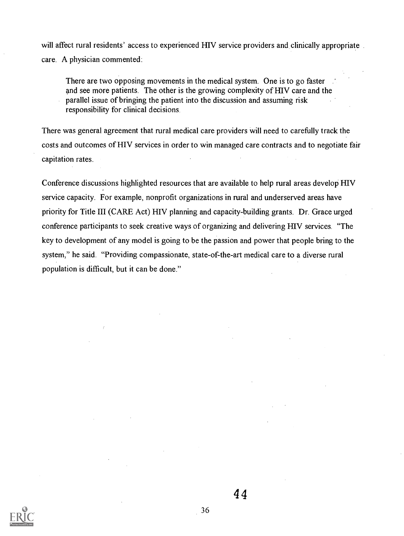will affect rural residents' access to experienced HIV service providers and clinically appropriate care. A physician commented:

There are two opposing movements in the medical system. One is to go faster and see more patients. The other is the growing complexity of HIV care and the parallel issue of bringing the patient into the discussion and assuming risk responsibility for clinical decisions.

There was general agreement that rural medical care providers will need to carefully track the costs and outcomes of HIV services in order to win managed care contracts and to negotiate fair capitation rates.

Conference discussions highlighted resources that are available to help rural areas develop HIV service capacity. For example, nonprofit organizations in rural and underserved areas have priority for Title III (CARE Act) HIV planning and capacity-building grants. Dr. Grace urged conference participants to seek creative ways of organizing and delivering HIV services. "The key to development of any model is going to be the passion and power that people bring to the system," he said. "Providing compassionate, state-of-the-art medical care to a diverse rural population is difficult, but it can be done."



4 4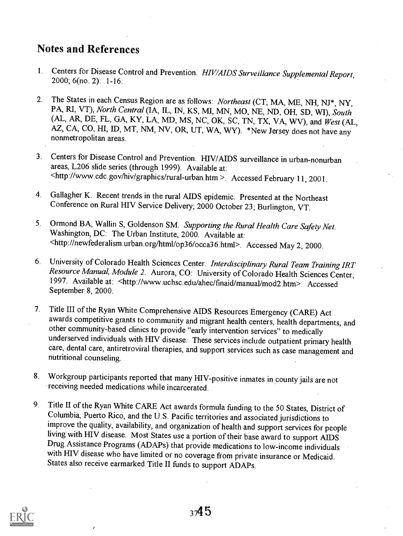### Notes and References

- 1. Centers for Disease Control and Prevention. HIV/AIDS Surveillance Supplemental Report, 2000; 6(no. 2): 1-16.
- 2. The States in each Census Region are as follows: Northeast (CT, MA, ME, NH, NJ\*, NY, PA, RI, VT), North Central (IA, IL, IN, KS, MI, MN, MO, NE, ND, OH, SD, WI), South (AL, AR, DE, FL, GA, KY, LA, MD, MS, NC, OK, SC, TN, TX, VA, WV), and West (AL, AZ, CA, CO, HI, ID, MT, NM, NV, OR, UT, WA, WY). \*New Jersey does not have any nonmetropolitan areas.
- 3. Centers for Disease Control and Prevention. HIV/AIDS surveillance in urban-nonurban areas, L206 slide series (through 1999). Available at: <http://www.cdc.gov/hiv/graphics/rural-urban.htm >. Accessed February 11, 2001.
- 4. Gallagher K. Recent trends in the rural AIDS epidemic. Presented at the Northeast Conference on Rural HIV Service Delivery; 2000 October 23; Burlington, VT.
- 5. Ormond BA, Wallin S, Goldenson SM. Supporting the Rural Health Care Safety Net. Washington, DC: The Urban Institute, 2000. Available at: <http://newfederalism.urban.org/html/op36/occa36.html>. Accessed May 2, 2000.
- 6. University of Colorado Health Sciences Center. Interdisciplinary Rural Team Training IRT Resource Manual, Module 2. Aurora, CO: University of Colorado Health Sciences Center, 1997. Available at: <http://www.uchsc.edu/ahec/finaid/manual/mod2.htm>. Accessed September 8, 2000.
- 7. Title III of the Ryan White Comprehensive AIDS Resources Emergency (CARE) Act awards competitive grants to community and migrant health centers, health departments, and other community-based clinics to provide "early intervention services" to medically underserved individuals with HIV disease. These services include outpatient primary health care, dental care, antiretroviral therapies, and support services such as case management and nutritional counseling.
- 8. Workgroup participants reported that many HIV-positive inmates in county jails are not receiving needed medications while incarcerated.
- 9. Title II of the Ryan White CARE Act awards formula funding to the 50 States, District of Columbia, Puerto Rico, and the U.S. Pacific territories and associated jurisdictions to improve the quality, availability, and organization of health and support services for people living with HIV disease. Most States use a portion of their base award to support AIDS Drug Assistance Programs (ADAPs) that provide medications to low-income individuals with HIV disease who have limited or no coverage from private insurance or Medicaid. States also receive earmarked Title II funds to support ADAPs.

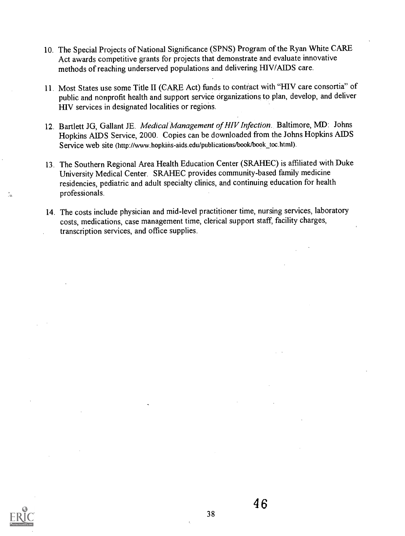- 10. The Special Projects of National Significance (SPNS) Program of the Ryan White CARE Act awards competitive grants for projects that demonstrate and evaluate innovative methods of reaching underserved populations and delivering HIV/AIDS care.
- 11. Most States use some Title II (CARE Act) funds to contract with "HIV care consortia" of public and nonprofit health and support service organizations to plan, develop, and deliver HIV services in designated localities or regions.
- 12. Bartlett JG, Gallant JE. Medical Management of HIV Infection. Baltimore, MD: Johns Hopkins AlDS Service, 2000. Copies can be downloaded from the Johns Hopkins AIDS Service web site (http://www.hopkins-aids.edu/publications/book/book\_toc.html).
- 13. The Southern Regional Area Health Education Center (SRAFIEC) is affiliated with Duke University Medical Center. SRAHEC provides community-based family medicine residencies, pediatric and adult specialty clinics, and continuing education for health professionals.
- 14. The costs include physician and mid-level practitioner time, nursing services, laboratory costs, medications, case management time, clerical support staff, facility charges, transcription services, and office supplies.



Ž.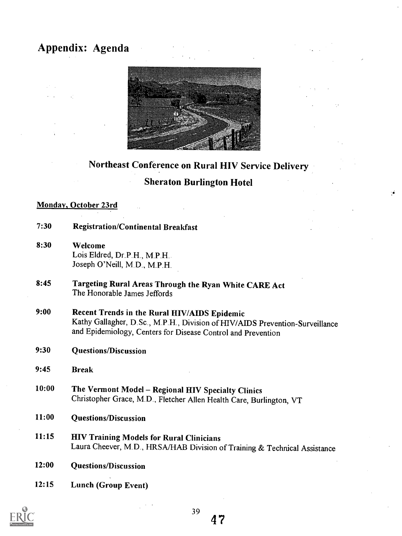## Appendix: Agenda



## Northeast Conference on Rural HIV Service Delivery Sheraton Burlington Hotel

### Monday, October 23rd

| 7:30  | <b>Registration/Continental Breakfast</b>                                                                                                                                                    |
|-------|----------------------------------------------------------------------------------------------------------------------------------------------------------------------------------------------|
| 8:30  | Welcome<br>Lois Eldred, Dr.P.H., M.P.H.<br>Joseph O'Neill, M.D., M.P.H.                                                                                                                      |
| 8:45  | Targeting Rural Areas Through the Ryan White CARE Act<br>The Honorable James Jeffords                                                                                                        |
| 9:00  | Recent Trends in the Rural HIV/AIDS Epidemic<br>Kathy Gallagher, D.Sc., M.P.H., Division of HIV/AIDS Prevention-Surveillance<br>and Epidemiology, Centers for Disease Control and Prevention |
| 9:30  | <b>Questions/Discussion</b>                                                                                                                                                                  |
| 9:45  | <b>Break</b>                                                                                                                                                                                 |
| 10:00 | The Vermont Model - Regional HIV Specialty Clinics<br>Christopher Grace, M.D., Fletcher Allen Health Care, Burlington, VT                                                                    |
|       |                                                                                                                                                                                              |
| 11:00 | <b>Questions/Discussion</b>                                                                                                                                                                  |
| 11:15 | <b>HIV Training Models for Rural Clinicians</b><br>Laura Cheever, M.D., HRSA/HAB Division of Training & Technical Assistance                                                                 |
| 12:00 | <b>Questions/Discussion</b>                                                                                                                                                                  |

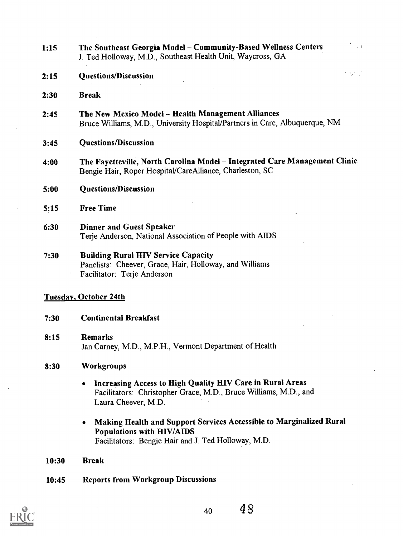| 2:15 | <b>Questions/Discussion</b>                                                                                                                               | $\sim 10^{-10}$ |  |  |  |
|------|-----------------------------------------------------------------------------------------------------------------------------------------------------------|-----------------|--|--|--|
| 2:30 | <b>Break</b>                                                                                                                                              |                 |  |  |  |
| 2:45 | The New Mexico Model - Health Management Alliances<br>Bruce Williams, M.D., University Hospital/Partners in Care, Albuquerque, NM                         |                 |  |  |  |
| 3:45 | <b>Questions/Discussion</b>                                                                                                                               |                 |  |  |  |
| 4:00 | The Fayetteville, North Carolina Model - Integrated Care Management Clinic<br>Bengie Hair, Roper Hospital/CareAlliance, Charleston, SC                    |                 |  |  |  |
| 5:00 | <b>Questions/Discussion</b>                                                                                                                               |                 |  |  |  |
| 5:15 | <b>Free Time</b>                                                                                                                                          |                 |  |  |  |
| 6:30 | <b>Dinner and Guest Speaker</b><br>Terje Anderson, National Association of People with AIDS                                                               |                 |  |  |  |
| 7:30 | <b>Building Rural HIV Service Capacity</b><br>Panelists: Cheever, Grace, Hair, Holloway, and Williams<br>Facilitator: Terje Anderson                      |                 |  |  |  |
|      | <b>Tuesday, October 24th</b>                                                                                                                              |                 |  |  |  |
| 7:30 | <b>Continental Breakfast</b>                                                                                                                              |                 |  |  |  |
| 8:15 | <b>Remarks</b><br>Jan Carney, M.D., M.P.H., Vermont Department of Health                                                                                  |                 |  |  |  |
| 8:30 | Workgroups                                                                                                                                                |                 |  |  |  |
|      | Increasing Access to High Quality HIV Care in Rural Areas<br>٠<br>Facilitators: Christopher Grace, M.D., Bruce Williams, M.D., and<br>Laura Cheever, M.D. |                 |  |  |  |

1:15 The Southeast Georgia Model - Community-Based Wellness Centers J. Ted Holloway, M.D., Southeast Health Unit, Waycross, GA

 $\pm$  3

- Making Health and Support Services Accessible to Marginalized Rural  $\bullet$ Populations with HIV/AIDS Facilitators: Bengie Hair and J. Ted Holloway, M.D.
- 10:30 Break
- 10:45 Reports from Workgroup Discussions

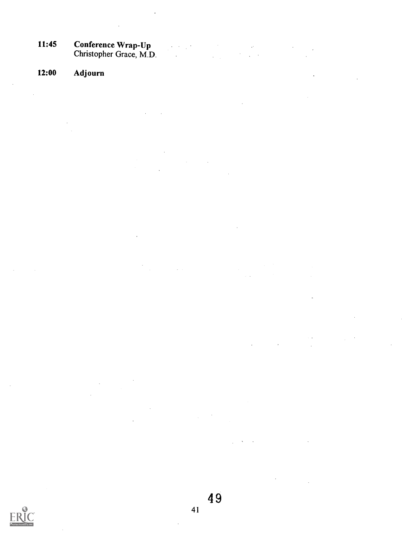11:45 Conference Wrap-Up Christopher Grace, M.D.  $\ddot{\phantom{a}}$ 

### 12:00 Adjourn

 $\hat{\mathcal{A}}$ 

 $\ddot{\phantom{a}}$ 

4 9



J.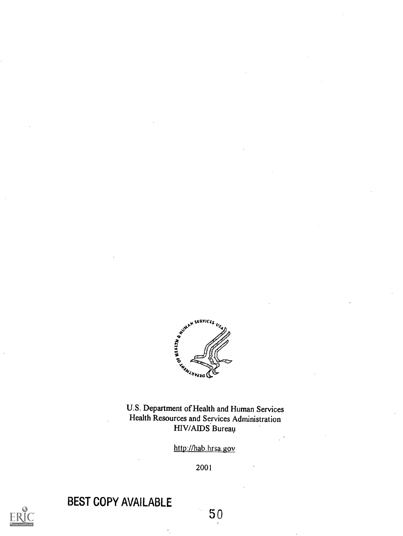

U.S. Department of Health and Human Services Health Resources and Services Administration HIV/AIDS Bureau

http://hab. hrsa.gov

2001



BEST COPY AVAILABLE